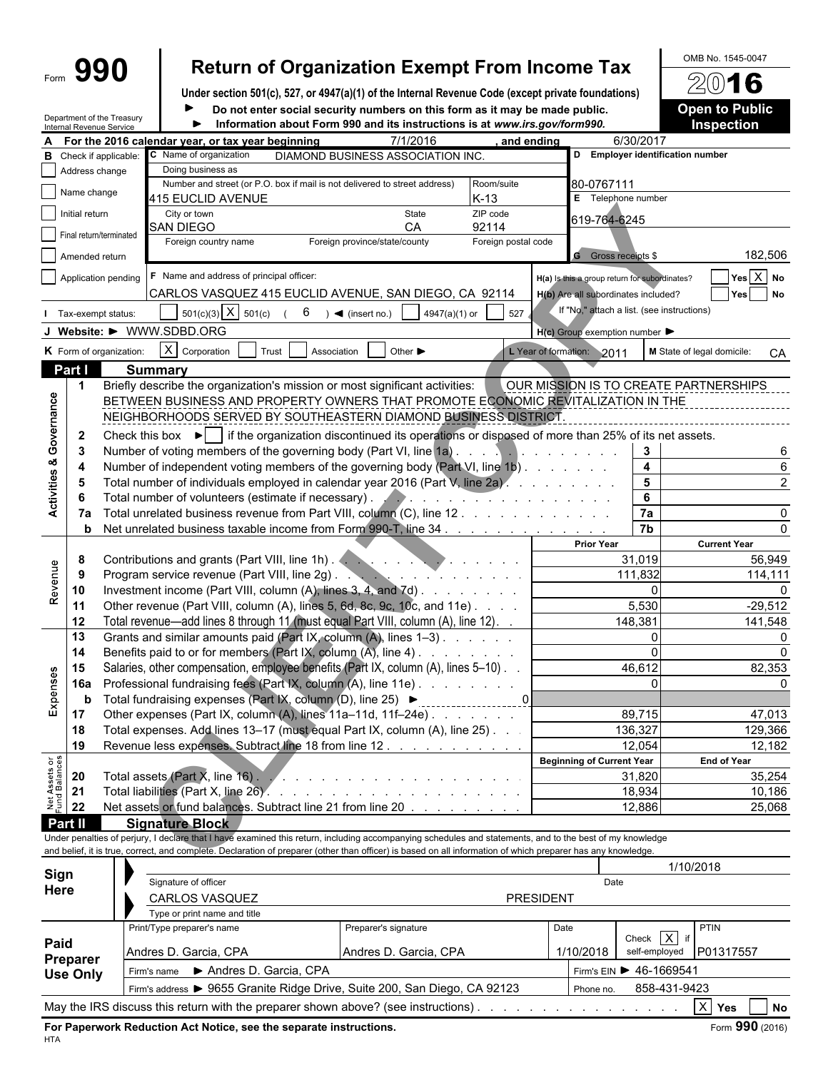|                                |                | 990                                                    |                                                                                                                                                                                                                                                                                                                          |                      | <b>Return of Organization Exempt From Income Tax</b>                                               |                                                                                                                                                                                                                                      |            |                                                     |              | OMB No. 1545-0047                |
|--------------------------------|----------------|--------------------------------------------------------|--------------------------------------------------------------------------------------------------------------------------------------------------------------------------------------------------------------------------------------------------------------------------------------------------------------------------|----------------------|----------------------------------------------------------------------------------------------------|--------------------------------------------------------------------------------------------------------------------------------------------------------------------------------------------------------------------------------------|------------|-----------------------------------------------------|--------------|----------------------------------|
|                                |                |                                                        |                                                                                                                                                                                                                                                                                                                          |                      | Under section 501(c), 527, or 4947(a)(1) of the Internal Revenue Code (except private foundations) |                                                                                                                                                                                                                                      |            |                                                     |              | 2016                             |
|                                |                |                                                        |                                                                                                                                                                                                                                                                                                                          |                      | Do not enter social security numbers on this form as it may be made public.                        |                                                                                                                                                                                                                                      |            |                                                     |              | <b>Open to Public</b>            |
|                                |                | Department of the Treasury<br>Internal Revenue Service |                                                                                                                                                                                                                                                                                                                          |                      | Information about Form 990 and its instructions is at www.irs.gov/form990.                         |                                                                                                                                                                                                                                      |            |                                                     |              | <b>Inspection</b>                |
|                                |                |                                                        | For the 2016 calendar year, or tax year beginning                                                                                                                                                                                                                                                                        |                      | 7/1/2016                                                                                           |                                                                                                                                                                                                                                      | and ending | 6/30/2017                                           |              |                                  |
|                                |                | <b>B</b> Check if applicable:                          | C Name of organization                                                                                                                                                                                                                                                                                                   |                      | DIAMOND BUSINESS ASSOCIATION INC.                                                                  |                                                                                                                                                                                                                                      |            | D Employer identification number                    |              |                                  |
|                                | Address change |                                                        | Doing business as<br>Number and street (or P.O. box if mail is not delivered to street address)                                                                                                                                                                                                                          |                      |                                                                                                    | Room/suite                                                                                                                                                                                                                           |            | 80-0767111                                          |              |                                  |
|                                | Name change    |                                                        | 415 EUCLID AVENUE                                                                                                                                                                                                                                                                                                        |                      |                                                                                                    | $K-13$                                                                                                                                                                                                                               |            | E Telephone number                                  |              |                                  |
|                                | Initial return |                                                        | City or town                                                                                                                                                                                                                                                                                                             |                      | State                                                                                              | ZIP code                                                                                                                                                                                                                             |            | 619-764-6245                                        |              |                                  |
|                                |                | Final return/terminated                                | <b>SAN DIEGO</b>                                                                                                                                                                                                                                                                                                         |                      | CА                                                                                                 | 92114                                                                                                                                                                                                                                |            |                                                     |              |                                  |
|                                |                |                                                        | Foreign country name                                                                                                                                                                                                                                                                                                     |                      | Foreign province/state/county                                                                      | Foreign postal code                                                                                                                                                                                                                  |            | <b>G</b> Gross receipts \$                          |              | 182,506                          |
|                                | Amended return |                                                        |                                                                                                                                                                                                                                                                                                                          |                      |                                                                                                    |                                                                                                                                                                                                                                      |            |                                                     |              |                                  |
|                                |                | Application pending                                    | F Name and address of principal officer:                                                                                                                                                                                                                                                                                 |                      |                                                                                                    |                                                                                                                                                                                                                                      |            | H(a) Is this a group return for subordinates?       |              | $Yes \ X$ No                     |
|                                |                |                                                        | CARLOS VASQUEZ 415 EUCLID AVENUE, SAN DIEGO, CA 92114                                                                                                                                                                                                                                                                    |                      |                                                                                                    |                                                                                                                                                                                                                                      |            | H(b) Are all subordinates included?                 |              | Yes No                           |
|                                |                | Tax-exempt status:                                     | $501(c)(3)$ X $501(c)$                                                                                                                                                                                                                                                                                                   | 6                    | $\blacktriangleleft$ (insert no.)                                                                  | 527<br>4947(a)(1) or                                                                                                                                                                                                                 |            | If "No," attach a list. (see instructions)          |              |                                  |
|                                |                |                                                        | J Website: $\blacktriangleright$ WWW.SDBD.ORG                                                                                                                                                                                                                                                                            |                      |                                                                                                    |                                                                                                                                                                                                                                      |            | $H(c)$ Group exemption number $\blacktriangleright$ |              |                                  |
|                                |                | K Form of organization:                                | $X$ Corporation                                                                                                                                                                                                                                                                                                          | Trust<br>Association | Other $\blacktriangleright$                                                                        |                                                                                                                                                                                                                                      |            | L Year of formation: 2011                           |              | M State of legal domicile:<br>CA |
|                                | Part I         |                                                        | <b>Summary</b>                                                                                                                                                                                                                                                                                                           |                      |                                                                                                    |                                                                                                                                                                                                                                      |            |                                                     |              |                                  |
|                                | $\mathbf 1$    |                                                        | Briefly describe the organization's mission or most significant activities:                                                                                                                                                                                                                                              |                      |                                                                                                    |                                                                                                                                                                                                                                      |            | OUR MISSION IS TO CREATE PARTNERSHIPS               |              |                                  |
| Governance                     |                |                                                        | BETWEEN BUSINESS AND PROPERTY OWNERS THAT PROMOTE ECONOMIC REVITALIZATION IN THE                                                                                                                                                                                                                                         |                      |                                                                                                    |                                                                                                                                                                                                                                      |            |                                                     |              |                                  |
|                                |                |                                                        | NEIGHBORHOODS SERVED BY SOUTHEASTERN DIAMOND BUSINESS DISTRICT                                                                                                                                                                                                                                                           |                      |                                                                                                    |                                                                                                                                                                                                                                      |            |                                                     |              |                                  |
|                                | $\mathbf{2}$   |                                                        | Check this box $\blacktriangleright$ if the organization discontinued its operations or disposed of more than 25% of its net assets.                                                                                                                                                                                     |                      |                                                                                                    |                                                                                                                                                                                                                                      |            |                                                     |              |                                  |
|                                | -3             |                                                        | Number of voting members of the governing body (Part VI, line 1a)                                                                                                                                                                                                                                                        |                      |                                                                                                    |                                                                                                                                                                                                                                      |            | 3                                                   |              | 6                                |
|                                | 4              |                                                        | Number of independent voting members of the governing body (Part VI, line 1b)                                                                                                                                                                                                                                            |                      |                                                                                                    |                                                                                                                                                                                                                                      |            | 4                                                   |              |                                  |
| <b>Activities &amp;</b>        | 5              |                                                        | Total number of individuals employed in calendar year 2016 (Part V, line 2a).                                                                                                                                                                                                                                            |                      |                                                                                                    |                                                                                                                                                                                                                                      |            | $\overline{\mathbf{5}}$<br>$\bf 6$                  |              |                                  |
|                                | 6<br>7а        |                                                        | Total number of volunteers (estimate if necessary).<br>Total unrelated business revenue from Part VIII, column (C), line 12                                                                                                                                                                                              |                      |                                                                                                    | .                                                                                                                                                                                                                                    |            | 7a                                                  |              |                                  |
|                                | b              |                                                        | Net unrelated business taxable income from Form 990-T, line 34.                                                                                                                                                                                                                                                          |                      |                                                                                                    |                                                                                                                                                                                                                                      |            | $\overline{7b}$                                     |              |                                  |
|                                |                |                                                        |                                                                                                                                                                                                                                                                                                                          |                      |                                                                                                    |                                                                                                                                                                                                                                      |            | <b>Prior Year</b>                                   |              | <b>Current Year</b>              |
|                                | 8              |                                                        | Contributions and grants (Part VIII, line 1h). And a contributions and grants (Part VIII, line 1h).                                                                                                                                                                                                                      |                      |                                                                                                    |                                                                                                                                                                                                                                      |            | 31,019                                              |              | 56,949                           |
| Revenue                        | 9              |                                                        | Program service revenue (Part VIII, line 2g).                                                                                                                                                                                                                                                                            |                      |                                                                                                    | <b>The contract of the contract of the contract of the contract of the contract of the contract of the contract of the contract of the contract of the contract of the contract of the contract of the contract of the contract </b> |            | 111,832                                             |              | 114,111                          |
|                                | 10             |                                                        | Investment income (Part VIII, column (A), lines 3, 4, and 7d)                                                                                                                                                                                                                                                            |                      |                                                                                                    |                                                                                                                                                                                                                                      |            |                                                     | $\Omega$     | n                                |
|                                | 11             |                                                        | Other revenue (Part VIII, column (A), lines 5, 6d, 8c, 9c, 10c, and 11e)                                                                                                                                                                                                                                                 |                      |                                                                                                    |                                                                                                                                                                                                                                      |            | 5,530                                               |              | $-29,512$                        |
|                                | 12             |                                                        | Total revenue—add lines 8 through 11 (must equal Part VIII, column (A), line 12). .                                                                                                                                                                                                                                      |                      |                                                                                                    |                                                                                                                                                                                                                                      |            | 148,381                                             |              | 141,548                          |
|                                | 13             |                                                        | Grants and similar amounts paid (Part IX, column (A), lines 1-3)                                                                                                                                                                                                                                                         |                      |                                                                                                    |                                                                                                                                                                                                                                      |            |                                                     | $\mathbf{0}$ | $\Omega$                         |
|                                | 14<br>15       |                                                        | Benefits paid to or for members (Part IX, column (A), line 4)<br>Salaries, other compensation, employee benefits (Part IX, column (A), lines 5-10).                                                                                                                                                                      |                      |                                                                                                    |                                                                                                                                                                                                                                      |            | 46,612                                              |              | 0<br>82,353                      |
|                                | <b>16a</b>     |                                                        | Professional fundraising fees (Part IX, column (A), line 11e)                                                                                                                                                                                                                                                            |                      |                                                                                                    |                                                                                                                                                                                                                                      |            |                                                     |              |                                  |
| Expenses                       | b              |                                                        | Total fundraising expenses (Part IX, column (D), line 25) ▶                                                                                                                                                                                                                                                              |                      |                                                                                                    |                                                                                                                                                                                                                                      |            |                                                     |              |                                  |
|                                | 17             |                                                        | Other expenses (Part IX, column (A), lines 11a-11d, 11f-24e)                                                                                                                                                                                                                                                             |                      |                                                                                                    |                                                                                                                                                                                                                                      |            | 89,715                                              |              | 47,013                           |
|                                | 18             |                                                        | Total expenses. Add lines 13-17 (must equal Part IX, column (A), line 25). .                                                                                                                                                                                                                                             |                      |                                                                                                    |                                                                                                                                                                                                                                      |            | 136,327                                             |              | 129,366                          |
|                                | 19             |                                                        | Revenue less expenses. Subtract line 18 from line 12                                                                                                                                                                                                                                                                     |                      |                                                                                                    |                                                                                                                                                                                                                                      |            | 12,054                                              |              | 12,182                           |
| Net Assets or<br>Fund Balances |                |                                                        |                                                                                                                                                                                                                                                                                                                          |                      |                                                                                                    |                                                                                                                                                                                                                                      |            | Beginning of Current Year                           |              | <b>End of Year</b>               |
|                                | 20             |                                                        | Total assets (Part X, line 16) 2 2 2 2 2 2 2 2 2 2 2 2 2 2 2 2 2 2 3 2 2 3 2 3 2 3 2 3 2 3 2 3 2 3 2 3 2 3 2 3 2 3 2 3 2 3 2 3 2 3 2 3 2 3 2 3 2 3 2 3 2 3 2 3 2 3 2 3 2 3 2 3 2 3 2 3 2 3 2 3 2 3 2 3 2 3 2 3 2 3 2 3 2 3 2 3                                                                                           |                      |                                                                                                    |                                                                                                                                                                                                                                      |            | 31,820                                              |              | 35,254                           |
|                                | 21             |                                                        |                                                                                                                                                                                                                                                                                                                          |                      |                                                                                                    |                                                                                                                                                                                                                                      |            | 18,934                                              |              | 10,186                           |
|                                | 22             |                                                        | Net assets or fund balances. Subtract line 21 from line 20                                                                                                                                                                                                                                                               |                      |                                                                                                    |                                                                                                                                                                                                                                      |            | 12,886                                              |              | 25,068                           |
|                                | Part II        |                                                        | <b>Signature Block</b>                                                                                                                                                                                                                                                                                                   |                      |                                                                                                    |                                                                                                                                                                                                                                      |            |                                                     |              |                                  |
|                                |                |                                                        | Under penalties of perjury, I declare that I have examined this return, including accompanying schedules and statements, and to the best of my knowledge<br>and belief, it is true, correct, and complete. Declaration of preparer (other than officer) is based on all information of which preparer has any knowledge. |                      |                                                                                                    |                                                                                                                                                                                                                                      |            |                                                     |              |                                  |
|                                |                |                                                        |                                                                                                                                                                                                                                                                                                                          |                      |                                                                                                    |                                                                                                                                                                                                                                      |            |                                                     | 1/10/2018    |                                  |
| Sign                           |                |                                                        | Signature of officer                                                                                                                                                                                                                                                                                                     |                      |                                                                                                    |                                                                                                                                                                                                                                      |            | Date                                                |              |                                  |
| Here                           |                |                                                        | CARLOS VASQUEZ                                                                                                                                                                                                                                                                                                           |                      |                                                                                                    |                                                                                                                                                                                                                                      | PRESIDENT  |                                                     |              |                                  |
|                                |                |                                                        | Type or print name and title                                                                                                                                                                                                                                                                                             |                      |                                                                                                    |                                                                                                                                                                                                                                      |            |                                                     |              |                                  |

|                 | I ype or print name and title        |                                                                                    |                                        |               |              |                     |           |
|-----------------|--------------------------------------|------------------------------------------------------------------------------------|----------------------------------------|---------------|--------------|---------------------|-----------|
| Paid            | Print/Type preparer's name           | Preparer's signature                                                               | Date                                   |               | Check $X$ if | PTIN                |           |
| Preparer        | Andres D. Garcia, CPA                |                                                                                    | 1/10/2018                              | self-employed | P01317557    |                     |           |
| <b>Use Only</b> | Andres D. Garcia, CPA<br>Firm's name |                                                                                    | Firm's EIN $\triangleright$ 46-1669541 |               |              |                     |           |
|                 |                                      | Firm's address > 9655 Granite Ridge Drive, Suite 200, San Diego, CA 92123          |                                        | Phone no.     | 858-431-9423 |                     |           |
|                 |                                      | May the IRS discuss this return with the preparer shown above? (see instructions). |                                        |               |              | $\mathsf{X}$<br>Yes | <b>No</b> |

**For Paperwork Reduction Act Notice, see the separate instructions. <b>Form 990** (2016) **Form 990** (2016)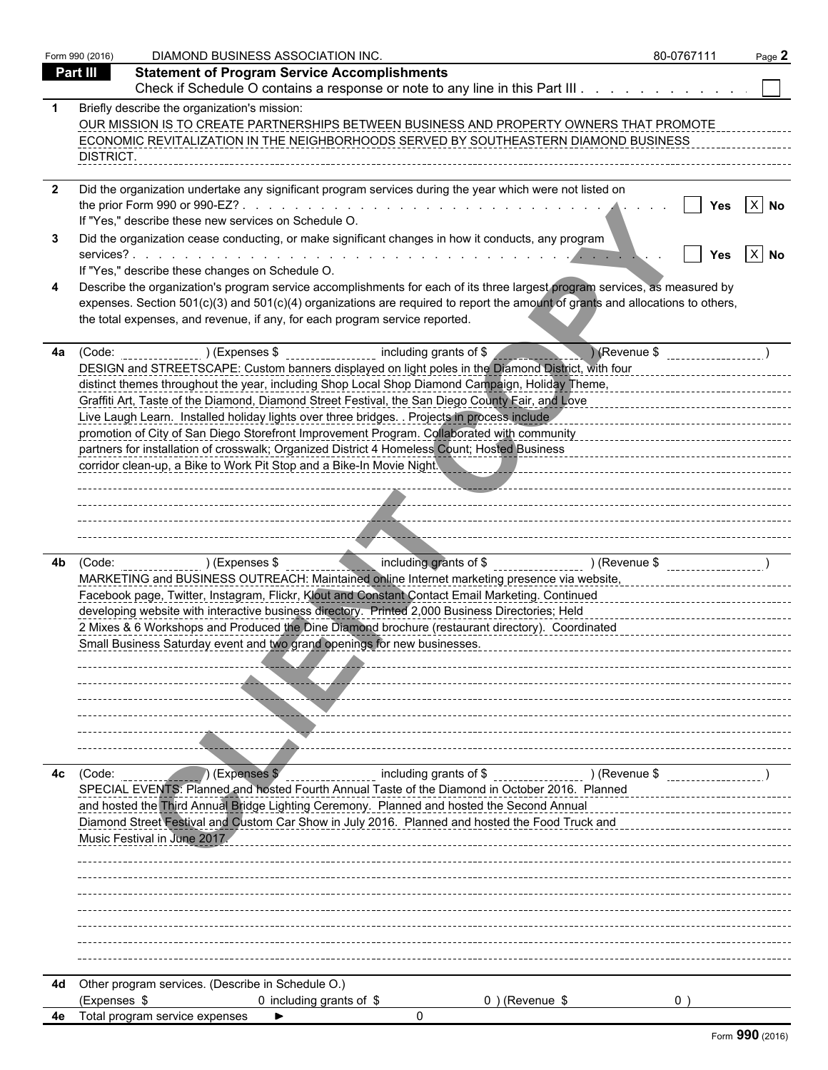|    | Form 990 (2016) | DIAMOND BUSINESS ASSOCIATION INC.                                                                                                                                                                                                                                                                                                                                                                                                                                                                                                                                                                                                                                                                  |                                                            |                   |               | 80-0767111 | Page 2 |
|----|-----------------|----------------------------------------------------------------------------------------------------------------------------------------------------------------------------------------------------------------------------------------------------------------------------------------------------------------------------------------------------------------------------------------------------------------------------------------------------------------------------------------------------------------------------------------------------------------------------------------------------------------------------------------------------------------------------------------------------|------------------------------------------------------------|-------------------|---------------|------------|--------|
|    | Part III        | <b>Statement of Program Service Accomplishments</b>                                                                                                                                                                                                                                                                                                                                                                                                                                                                                                                                                                                                                                                |                                                            |                   |               |            |        |
|    |                 | Check if Schedule O contains a response or note to any line in this Part III                                                                                                                                                                                                                                                                                                                                                                                                                                                                                                                                                                                                                       |                                                            |                   |               |            |        |
|    | DISTRICT.       | Briefly describe the organization's mission:<br>OUR MISSION IS TO CREATE PARTNERSHIPS BETWEEN BUSINESS AND PROPERTY OWNERS THAT PROMOTE<br>ECONOMIC REVITALIZATION IN THE NEIGHBORHOODS SERVED BY SOUTHEASTERN DIAMOND BUSINESS                                                                                                                                                                                                                                                                                                                                                                                                                                                                    |                                                            |                   |               |            |        |
|    |                 | Did the organization undertake any significant program services during the year which were not listed on<br>If "Yes," describe these new services on Schedule O.                                                                                                                                                                                                                                                                                                                                                                                                                                                                                                                                   |                                                            |                   |               |            | $X$ No |
|    |                 | Did the organization cease conducting, or make significant changes in how it conducts, any program<br>If "Yes," describe these changes on Schedule O.                                                                                                                                                                                                                                                                                                                                                                                                                                                                                                                                              |                                                            |                   |               | Yes        | $X$ No |
|    |                 | Describe the organization's program service accomplishments for each of its three largest program services, as measured by<br>expenses. Section 501(c)(3) and 501(c)(4) organizations are required to report the amount of grants and allocations to others,<br>the total expenses, and revenue, if any, for each program service reported.                                                                                                                                                                                                                                                                                                                                                        |                                                            |                   |               |            |        |
| 4a | (Code:          | ) (Expenses \$<br>DESIGN and STREETSCAPE: Custom banners displayed on light poles in the Diamond District, with four<br>distinct themes throughout the year, including Shop Local Shop Diamond Campaign, Holiday Theme,<br>Graffiti Art, Taste of the Diamond, Diamond Street Festival, the San Diego County Fair, and Love<br>Live Laugh Learn. Installed holiday lights over three bridges. . Projects in process include<br>promotion of City of San Diego Storefront Improvement Program. Collaborated with community<br>partners for installation of crosswalk; Organized District 4 Homeless Count; Hosted Business<br>corridor clean-up, a Bike to Work Pit Stop and a Bike-In Movie Night. | including grants of \$                                     |                   | Revenue \$    |            |        |
|    |                 |                                                                                                                                                                                                                                                                                                                                                                                                                                                                                                                                                                                                                                                                                                    |                                                            |                   |               |            |        |
| 4b |                 | $(Code:$ (Code: $(Coc:$<br>MARKETING and BUSINESS OUTREACH: Maintained online Internet marketing presence via website,<br>Facebook page, Twitter, Instagram, Flickr, Klout and Constant Contact Email Marketing. Continued<br>developing website with interactive business directory. Printed 2,000 Business Directories; Held<br>2 Mixes & 6 Workshops and Produced the Dine Diamond brochure (restaurant directory). Coordinated<br>Small Business Saturday event and two grand openings for new businesses.                                                                                                                                                                                     | including grants of \$ _____________________ ) (Revenue \$ |                   |               |            |        |
| 4с | (Code:          | (Expenses \$<br>SPECIAL EVENTS: Planned and hosted Fourth Annual Taste of the Diamond in October 2016. Planned<br>and hosted the Third Annual Bridge Lighting Ceremony. Planned and hosted the Second Annual<br>Diamond Street Festival and Custom Car Show in July 2016. Planned and hosted the Food Truck and<br>Music Festival in June 2017.                                                                                                                                                                                                                                                                                                                                                    | including grants of \$                                     |                   | ) (Revenue \$ |            |        |
| 4d | (Expenses \$    | Other program services. (Describe in Schedule O.)<br>0 including grants of \$<br>4e Total program service expenses                                                                                                                                                                                                                                                                                                                                                                                                                                                                                                                                                                                 | O                                                          | $0$ ) (Revenue \$ |               | 0          |        |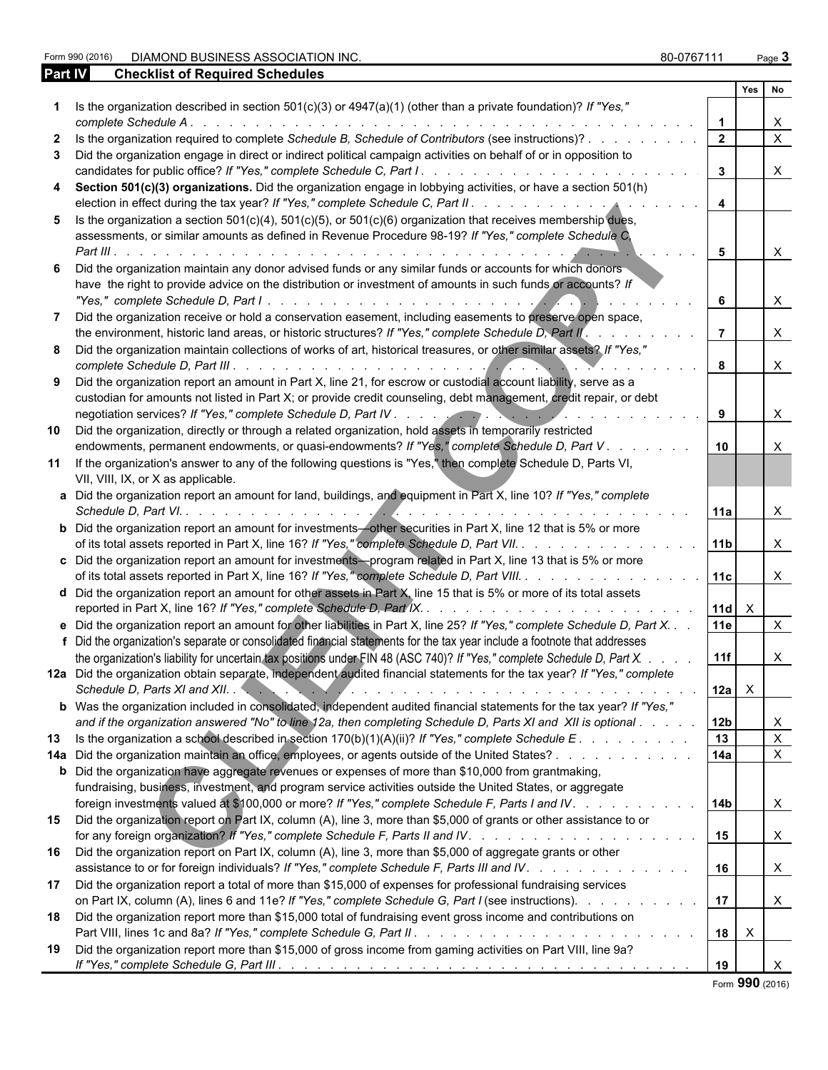Form 990 (2016) DIAMOND BUSINESS ASSOCIATION INC. 80-0767111 Page **3**

| Part IV | <b>Checklist of Required Schedules</b>                                                                                                                                                                                                                      |                 |              |              |
|---------|-------------------------------------------------------------------------------------------------------------------------------------------------------------------------------------------------------------------------------------------------------------|-----------------|--------------|--------------|
|         |                                                                                                                                                                                                                                                             |                 | <b>Yes</b>   | No           |
|         | 1 Is the organization described in section $501(c)(3)$ or $4947(a)(1)$ (other than a private foundation)? If "Yes,"                                                                                                                                         |                 |              |              |
|         | complete Schedule A<br>the contract of the contract of the contract of the contract of the contract of the contract of the contract of                                                                                                                      |                 |              | X            |
|         | Is the organization required to complete Schedule B, Schedule of Contributors (see instructions)?                                                                                                                                                           | $\mathbf{2}$    |              | $\times$     |
|         | Did the organization engage in direct or indirect political campaign activities on behalf of or in opposition to                                                                                                                                            |                 |              |              |
|         |                                                                                                                                                                                                                                                             | $\mathbf{3}$    |              | $\mathsf{X}$ |
|         | Section 501(c)(3) organizations. Did the organization engage in lobbying activities, or have a section 501(h)                                                                                                                                               | $\overline{4}$  |              |              |
| 5.      | Is the organization a section $501(c)(4)$ , $501(c)(5)$ , or $501(c)(6)$ organization that receives membership dues,<br>assessments, or similar amounts as defined in Revenue Procedure 98-19? If "Yes," complete Schedule C,<br>Part III $\cdots$ $\cdots$ | 5               |              | $\mathsf{X}$ |
|         | Did the organization maintain any donor advised funds or any similar funds or accounts for which donors                                                                                                                                                     |                 |              |              |
|         | have the right to provide advice on the distribution or investment of amounts in such funds or accounts? If                                                                                                                                                 | 6               |              | $\mathsf{X}$ |
|         | Did the organization receive or hold a conservation easement, including easements to preserve open space,<br>the environment, historic land areas, or historic structures? If "Yes," complete Schedule D, Part II'.                                         |                 |              | $\mathsf{X}$ |
|         | Did the organization maintain collections of works of art, historical treasures, or other similar assets? If "Yes,"                                                                                                                                         | 8               |              | $\mathsf{X}$ |
|         | Did the organization report an amount in Part X, line 21, for escrow or custodial account liability, serve as a<br>custodian for amounts not listed in Part X; or provide credit counseling, debt management, credit repair, or debt                        |                 |              |              |
|         |                                                                                                                                                                                                                                                             | 9               |              | $\mathsf{X}$ |
| 10      | Did the organization, directly or through a related organization, hold assets in temporarily restricted<br>endowments, permanent endowments, or quasi-endowments? If "Yes," complete Schedule D, Part V.                                                    | 10              |              | $\times$     |
|         | 11 If the organization's answer to any of the following questions is "Yes," then complete Schedule D, Parts VI,<br>VII, VIII, IX, or X as applicable.                                                                                                       |                 |              |              |
|         | a Did the organization report an amount for land, buildings, and equipment in Part X, line 10? If "Yes," complete                                                                                                                                           | 11a             |              | X            |
|         | <b>b</b> Did the organization report an amount for investments-other securities in Part X, line 12 that is 5% or more<br>of its total assets reported in Part X, line 16? If "Yes," complete Schedule D, Part VII.                                          | 11 <sub>b</sub> |              | $\mathsf{X}$ |
|         | c Did the organization report an amount for investments—program related in Part X, line 13 that is 5% or more<br>of its total assets reported in Part X, line 16? If "Yes," complete Schedule D, Part VIII.                                                 | 11c             |              | $\mathsf{X}$ |
|         | d Did the organization report an amount for other assets in Part X, line 15 that is 5% or more of its total assets<br>reported in Part X, line 16? If "Yes," complete Schedule D, Part IX. Automas Assets Assets Assets Assets Asset                        | $ 11d  \times$  |              |              |
|         | e Did the organization report an amount for other liabilities in Part X, line 25? If "Yes," complete Schedule D, Part X.                                                                                                                                    | 11e             |              | $\mathsf{X}$ |
|         | f Did the organization's separate or consolidated financial statements for the tax year include a footnote that addresses<br>the organization's liability for uncertain tax positions under FIN 48 (ASC 740)? If "Yes," complete Schedule D, Part X.        | 11f             |              | X            |
|         | 12a Did the organization obtain separate, independent audited financial statements for the tax year? If "Yes," complete                                                                                                                                     |                 |              |              |
|         | Schedule D, Parts XI and XII. New York March 2014 (1996) and the Contract of the Contract of the Contract of the Contract of the Contract of the Contract of the Contract of the Contract of the Contract of the Contract of t                              | $12a \mid X$    |              |              |
|         | b Was the organization included in consolidated, independent audited financial statements for the tax year? If "Yes,"                                                                                                                                       |                 |              |              |
|         | and if the organization answered "No" to line 12a, then completing Schedule D, Parts XI and XII is optional                                                                                                                                                 | 12 <sub>b</sub> |              | X            |
|         | 13 Is the organization a school described in section 170(b)(1)(A)(ii)? If "Yes," complete Schedule E.                                                                                                                                                       | 13              |              | $\mathsf{X}$ |
|         | 14a Did the organization maintain an office, employees, or agents outside of the United States?                                                                                                                                                             | 14a             |              | $\mathsf{X}$ |
|         | <b>b</b> Did the organization have aggregate revenues or expenses of more than \$10,000 from grantmaking,<br>fundraising, business, investment, and program service activities outside the United States, or aggregate                                      |                 |              |              |
|         | foreign investments valued at \$100,000 or more? If "Yes," complete Schedule F, Parts I and IV.                                                                                                                                                             | 14 <sub>b</sub> |              | $\mathsf{X}$ |
| 15      | Did the organization report on Part IX, column (A), line 3, more than \$5,000 of grants or other assistance to or                                                                                                                                           | 15              |              | $\mathsf{X}$ |
| 16      | Did the organization report on Part IX, column (A), line 3, more than \$5,000 of aggregate grants or other<br>assistance to or for foreign individuals? If "Yes," complete Schedule F, Parts III and IV.                                                    | 16              |              | $\mathsf{X}$ |
| 17      | Did the organization report a total of more than \$15,000 of expenses for professional fundraising services<br>on Part IX, column (A), lines 6 and 11e? If "Yes," complete Schedule G, Part I (see instructions).                                           | 17              |              | $\mathsf{X}$ |
| 18      | Did the organization report more than \$15,000 total of fundraising event gross income and contributions on                                                                                                                                                 | 18              | $\mathsf{X}$ |              |
| 19      | Did the organization report more than \$15,000 of gross income from gaming activities on Part VIII, line 9a?                                                                                                                                                | 19              |              | $\times$     |

Form **990** (2016)

| orm 990 (2016) |
|----------------|
|----------------|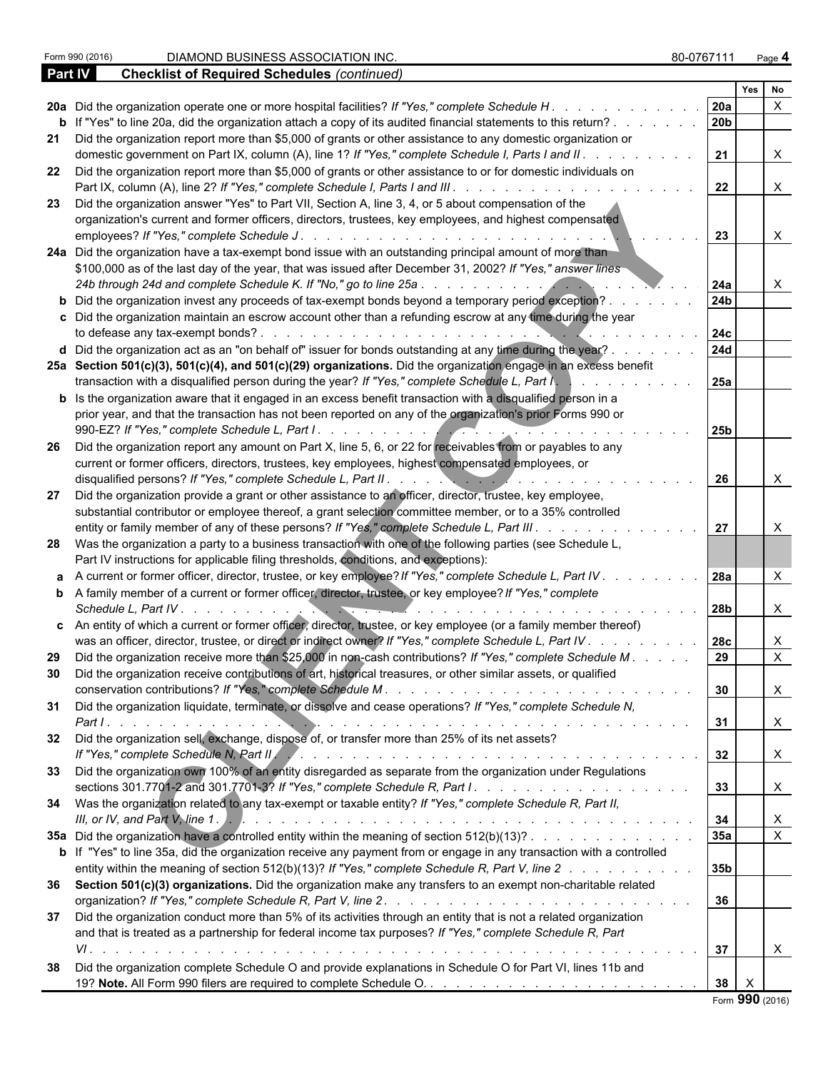|           |                                                                                                                                                                                                                                                                                                                                                               |                        | Yes | <b>No</b>                 |  |
|-----------|---------------------------------------------------------------------------------------------------------------------------------------------------------------------------------------------------------------------------------------------------------------------------------------------------------------------------------------------------------------|------------------------|-----|---------------------------|--|
|           | 20a Did the organization operate one or more hospital facilities? If "Yes," complete Schedule H                                                                                                                                                                                                                                                               | 20a                    |     | $\times$                  |  |
|           | b If "Yes" to line 20a, did the organization attach a copy of its audited financial statements to this return?.                                                                                                                                                                                                                                               | 20b                    |     |                           |  |
|           | 21 Did the organization report more than \$5,000 of grants or other assistance to any domestic organization or<br>domestic government on Part IX, column (A), line 1? If "Yes," complete Schedule I, Parts I and II.                                                                                                                                          | 21                     |     | $\times$                  |  |
|           | 22 Did the organization report more than \$5,000 of grants or other assistance to or for domestic individuals on<br>Part IX, column (A), line 2? If "Yes," complete Schedule I, Parts I and III.                                                                                                                                                              | 22                     |     | $\boldsymbol{\mathsf{X}}$ |  |
|           | 23 Did the organization answer "Yes" to Part VII, Section A, line 3, 4, or 5 about compensation of the<br>organization's current and former officers, directors, trustees, key employees, and highest compensated<br>employees? If "Yes," complete Schedule J.<br>de la caractería de la caractería de la caractería de                                       | 23                     |     | X                         |  |
|           | 24a Did the organization have a tax-exempt bond issue with an outstanding principal amount of more than<br>\$100,000 as of the last day of the year, that was issued after December 31, 2002? If "Yes," answer lines                                                                                                                                          |                        |     |                           |  |
|           | 24b through 24d and complete Schedule K. If "No," go to line 25a<br>b Did the organization invest any proceeds of tax-exempt bonds beyond a temporary period exception?<br>c Did the organization maintain an escrow account other than a refunding escrow at any time during the year                                                                        | 24a<br>24 <sub>b</sub> |     | X                         |  |
|           | to defease any tax-exempt bonds?.<br>d Did the organization act as an "on behalf of" issuer for bonds outstanding at any time during the year?.                                                                                                                                                                                                               | 24c<br><b>24d</b>      |     |                           |  |
|           | 25a Section 501(c)(3), 501(c)(4), and 501(c)(29) organizations. Did the organization engage in an excess benefit<br>transaction with a disqualified person during the year? If "Yes," complete Schedule L, Part I,                                                                                                                                            | 25a                    |     |                           |  |
|           | <b>b</b> Is the organization aware that it engaged in an excess benefit transaction with a disqualified person in a<br>prior year, and that the transaction has not been reported on any of the organization's prior Forms 990 or                                                                                                                             |                        |     |                           |  |
| 26        | Did the organization report any amount on Part X, line 5, 6, or 22 for receivables from or payables to any<br>current or former officers, directors, trustees, key employees, highest compensated employees, or                                                                                                                                               | 25 <sub>b</sub>        |     |                           |  |
| 27        | Did the organization provide a grant or other assistance to an officer, director, trustee, key employee,                                                                                                                                                                                                                                                      | 26                     |     | X                         |  |
|           | substantial contributor or employee thereof, a grant selection committee member, or to a 35% controlled<br>entity or family member of any of these persons? If "Yes," complete Schedule L, Part III                                                                                                                                                           | 27                     |     |                           |  |
|           | 28 Was the organization a party to a business transaction with one of the following parties (see Schedule L,<br>Part IV instructions for applicable filing thresholds, conditions, and exceptions):<br>a A current or former officer, director, trustee, or key employee? If "Yes," complete Schedule L, Part IV.                                             | <b>28a</b>             |     | X                         |  |
|           | <b>b</b> A family member of a current or former officer, director, trustee, or key employee? If "Yes," complete<br>Schedule L, Part IV.                                                                                                                                                                                                                       | 28b                    |     | X                         |  |
|           | c An entity of which a current or former officer, director, trustee, or key employee (or a family member thereof)<br>was an officer, director, trustee, or direct or indirect owner? If "Yes," complete Schedule L, Part IV.                                                                                                                                  | <b>28c</b>             |     | X                         |  |
| 29.<br>30 | Did the organization receive more than \$25,000 in non-cash contributions? If "Yes," complete Schedule M.<br>Did the organization receive contributions of art, historical treasures, or other similar assets, or qualified                                                                                                                                   | 29<br>30               |     | $\mathsf{X}$              |  |
| -31       | Did the organization liquidate, terminate, or dissolve and cease operations? If "Yes," complete Schedule N,                                                                                                                                                                                                                                                   | 31                     |     | $\lambda$<br>$\times$     |  |
| 32        | Did the organization sell, exchange, dispose of, or transfer more than 25% of its net assets?                                                                                                                                                                                                                                                                 | 32                     |     | X                         |  |
| 33        | Did the organization own 100% of an entity disregarded as separate from the organization under Regulations<br>34 Was the organization related to any tax-exempt or taxable entity? If "Yes," complete Schedule R, Part II,                                                                                                                                    | 33                     |     | $\times$                  |  |
|           | 35a Did the organization have a controlled entity within the meaning of section 512(b)(13)?                                                                                                                                                                                                                                                                   | 34<br>35a              |     | $\mathsf{X}$              |  |
|           | b If "Yes" to line 35a, did the organization receive any payment from or engage in any transaction with a controlled<br>entity within the meaning of section 512(b)(13)? If "Yes," complete Schedule R, Part V, line 2                                                                                                                                        | 35b                    |     |                           |  |
|           | 36 Section 501(c)(3) organizations. Did the organization make any transfers to an exempt non-charitable related                                                                                                                                                                                                                                               | 36                     |     |                           |  |
| 37        | Did the organization conduct more than 5% of its activities through an entity that is not a related organization<br>and that is treated as a partnership for federal income tax purposes? If "Yes," complete Schedule R, Part<br>VI.<br>المتحالف والمتحال والمتحال والمتحال والمتحال والمتحال والمتحال والمتحال والمتحال والمتحال والمتحال والمتحال والمتحالة | 37                     |     | X                         |  |
| 38        | Did the organization complete Schedule O and provide explanations in Schedule O for Part VI, lines 11b and                                                                                                                                                                                                                                                    | 38                     |     |                           |  |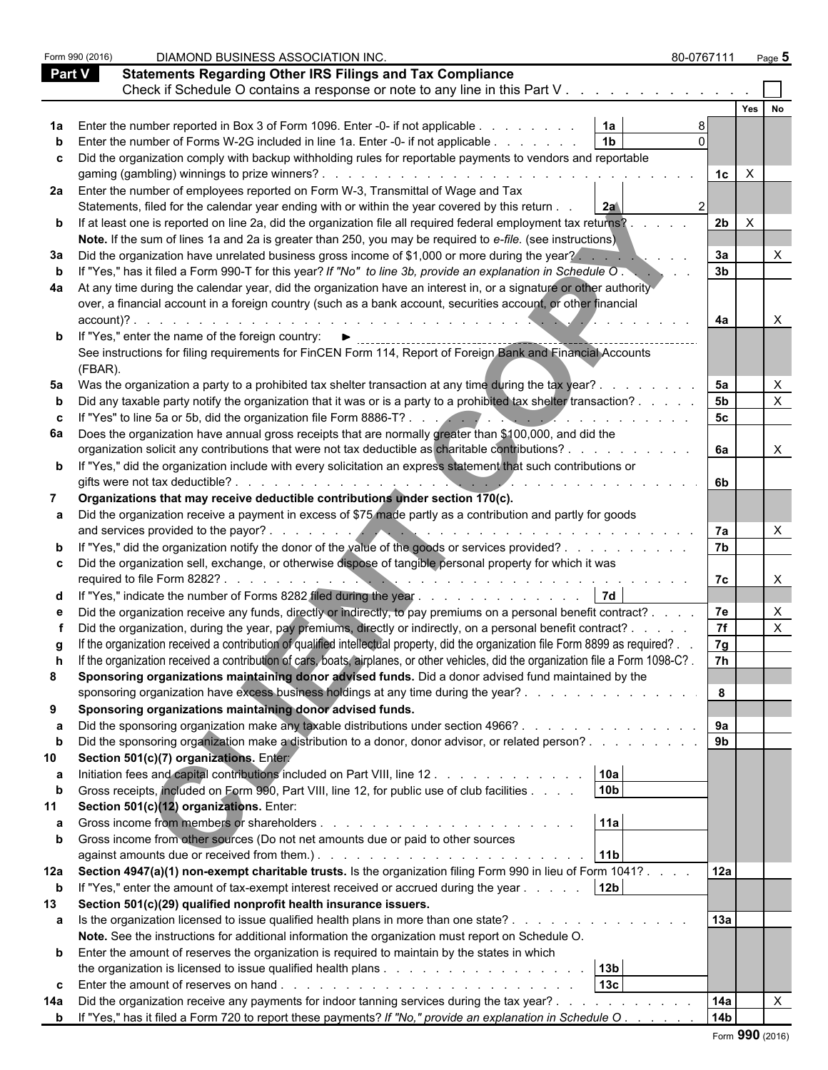|               | Form 990 (2016) | DIAMOND BUSINESS ASSOCIATION INC.                                                                                                                                                                                                      | 80-0767111           | Page $5$         |  |
|---------------|-----------------|----------------------------------------------------------------------------------------------------------------------------------------------------------------------------------------------------------------------------------------|----------------------|------------------|--|
| <b>Part V</b> |                 | <b>Statements Regarding Other IRS Filings and Tax Compliance</b>                                                                                                                                                                       |                      |                  |  |
|               |                 | Check if Schedule O contains a response or note to any line in this Part V                                                                                                                                                             |                      |                  |  |
|               |                 |                                                                                                                                                                                                                                        |                      | Yes<br><b>No</b> |  |
|               |                 |                                                                                                                                                                                                                                        |                      |                  |  |
|               |                 | 1a<br>Enter the number reported in Box 3 of Form 1096. Enter -0- if not applicable<br>1 <sub>b</sub>                                                                                                                                   |                      |                  |  |
|               |                 | Enter the number of Forms W-2G included in line 1a. Enter -0- if not applicable                                                                                                                                                        |                      |                  |  |
| C             |                 | Did the organization comply with backup withholding rules for reportable payments to vendors and reportable                                                                                                                            |                      |                  |  |
|               |                 |                                                                                                                                                                                                                                        | $\mathsf{X}$<br>1c l |                  |  |
|               |                 | 2a Enter the number of employees reported on Form W-3, Transmittal of Wage and Tax                                                                                                                                                     |                      |                  |  |
|               |                 | Statements, filed for the calendar year ending with or within the year covered by this return .<br>2a                                                                                                                                  |                      |                  |  |
|               |                 | <b>b</b> If at least one is reported on line 2a, did the organization file all required federal employment tax returns?                                                                                                                | 2b<br>$\times$       |                  |  |
|               |                 | Note. If the sum of lines 1a and 2a is greater than 250, you may be required to e-file. (see instructions)                                                                                                                             |                      |                  |  |
| За            |                 | Did the organization have unrelated business gross income of \$1,000 or more during the year?                                                                                                                                          | 3a                   |                  |  |
|               |                 | If "Yes," has it filed a Form 990-T for this year? If "No" to line 3b, provide an explanation in Schedule O.                                                                                                                           | 3 <sub>b</sub>       |                  |  |
| 4a            |                 | At any time during the calendar year, did the organization have an interest in, or a signature or other authority                                                                                                                      |                      |                  |  |
|               |                 | over, a financial account in a foreign country (such as a bank account, securities account, or other financial                                                                                                                         |                      |                  |  |
|               | account)?.      |                                                                                                                                                                                                                                        | 4a                   |                  |  |
|               |                 | <b>b</b> If "Yes," enter the name of the foreign country: I                                                                                                                                                                            |                      |                  |  |
|               |                 | See instructions for filing requirements for FinCEN Form 114, Report of Foreign Bank and Financial Accounts                                                                                                                            |                      |                  |  |
|               | (FBAR).         |                                                                                                                                                                                                                                        |                      |                  |  |
|               |                 | 5a Was the organization a party to a prohibited tax shelter transaction at any time during the tax year?.                                                                                                                              | 5a                   |                  |  |
|               |                 | Did any taxable party notify the organization that it was or is a party to a prohibited tax shelter transaction?                                                                                                                       | 5 <sub>b</sub>       |                  |  |
|               |                 | If "Yes" to line 5a or 5b, did the organization file Form 8886-T?                                                                                                                                                                      | 5 <sub>c</sub>       |                  |  |
| 6а            |                 | Does the organization have annual gross receipts that are normally greater than \$100,000, and did the                                                                                                                                 |                      |                  |  |
|               |                 | organization solicit any contributions that were not tax deductible as charitable contributions?.                                                                                                                                      | 6а                   | X                |  |
|               |                 | <b>b</b> If "Yes," did the organization include with every solicitation an express statement that such contributions or                                                                                                                |                      |                  |  |
|               |                 | gifts were not tax deductible?.                                                                                                                                                                                                        | 6b.                  |                  |  |
|               |                 | Organizations that may receive deductible contributions under section 170(c).                                                                                                                                                          |                      |                  |  |
|               |                 | Did the organization receive a payment in excess of \$75 made partly as a contribution and partly for goods                                                                                                                            |                      |                  |  |
|               |                 | and services provided to the payor?.<br><u>All Communications and the second second second second second second second second second second second second</u>                                                                          | 7a                   |                  |  |
|               |                 | "Yes," did the organization notify the donor of the value of the goods or services provided?                                                                                                                                           | 7 <sub>b</sub>       |                  |  |
|               |                 | Did the organization sell, exchange, or otherwise dispose of tangible personal property for which it was                                                                                                                               |                      |                  |  |
|               |                 | required to file Form 8282?                                                                                                                                                                                                            | 7c                   |                  |  |
|               |                 | <b>7d</b><br>"Yes," indicate the number of Forms 8282 filed during the year                                                                                                                                                            |                      |                  |  |
|               |                 | Did the organization receive any funds, directly or indirectly, to pay premiums on a personal benefit contract?                                                                                                                        | 7e                   |                  |  |
|               |                 | Did the organization, during the year, pay premiums, directly or indirectly, on a personal benefit contract? .                                                                                                                         | 7f                   |                  |  |
|               |                 | If the organization received a contribution of qualified intellectual property, did the organization file Form 8899 as required?.                                                                                                      | 7g                   |                  |  |
|               |                 | If the organization received a contribution of cars, boats, airplanes, or other vehicles, did the organization file a Form 1098-C?.                                                                                                    | 7h                   |                  |  |
| 8             |                 | Sponsoring organizations maintaining donor advised funds. Did a donor advised fund maintained by the                                                                                                                                   |                      |                  |  |
|               |                 | sponsoring organization have excess business holdings at any time during the year?                                                                                                                                                     | 8                    |                  |  |
| 9             |                 | Sponsoring organizations maintaining donor advised funds.                                                                                                                                                                              |                      |                  |  |
| а             |                 | Did the sponsoring organization make any taxable distributions under section 4966?                                                                                                                                                     | 9a                   |                  |  |
| b             |                 | Did the sponsoring organization make a distribution to a donor, donor advisor, or related person?                                                                                                                                      | 9 <sub>b</sub>       |                  |  |
| 10            |                 | Section 501(c)(7) organizations. Entery                                                                                                                                                                                                |                      |                  |  |
| а             |                 | 10a<br>Initiation fees and capital contributions included on Part VIII, line 12                                                                                                                                                        |                      |                  |  |
|               |                 | 10 <sub>b</sub><br>Gross receipts, included on Form 990, Part VIII, line 12, for public use of club facilities                                                                                                                         |                      |                  |  |
| 11            |                 | Section 501(c)(12) organizations. Enter:                                                                                                                                                                                               |                      |                  |  |
| а             |                 | 11a                                                                                                                                                                                                                                    |                      |                  |  |
|               |                 | Gross income from other sources (Do not net amounts due or paid to other sources                                                                                                                                                       |                      |                  |  |
|               |                 | against amounts due or received from them.). The state of the state of the state of the state of the state of the state of the state of the state of the state of the state of the state of the state of the state of the stat<br> 11b |                      |                  |  |
|               |                 | Section 4947(a)(1) non-exempt charitable trusts. Is the organization filing Form 990 in lieu of Form 1041?                                                                                                                             | 12a                  |                  |  |
| 12a           |                 | 12 <sub>b</sub>                                                                                                                                                                                                                        |                      |                  |  |
| $\mathbf b$   |                 | If "Yes," enter the amount of tax-exempt interest received or accrued during the year                                                                                                                                                  |                      |                  |  |
| 13            |                 | Section 501(c)(29) qualified nonprofit health insurance issuers.                                                                                                                                                                       | 13a                  |                  |  |
|               |                 | a Is the organization licensed to issue qualified health plans in more than one state?                                                                                                                                                 |                      |                  |  |
|               |                 | Note. See the instructions for additional information the organization must report on Schedule O.                                                                                                                                      |                      |                  |  |
|               |                 | <b>b</b> Enter the amount of reserves the organization is required to maintain by the states in which                                                                                                                                  |                      |                  |  |
|               |                 | 13b                                                                                                                                                                                                                                    |                      |                  |  |
| C             |                 | 13 <sub>c</sub>                                                                                                                                                                                                                        |                      |                  |  |
| 14a           |                 | Did the organization receive any payments for indoor tanning services during the tax year?                                                                                                                                             | 14a                  |                  |  |
|               |                 | <b>b</b> If "Yes," has it filed a Form 720 to report these payments? If "No," provide an explanation in Schedule O.                                                                                                                    | 14 <sub>b</sub>      |                  |  |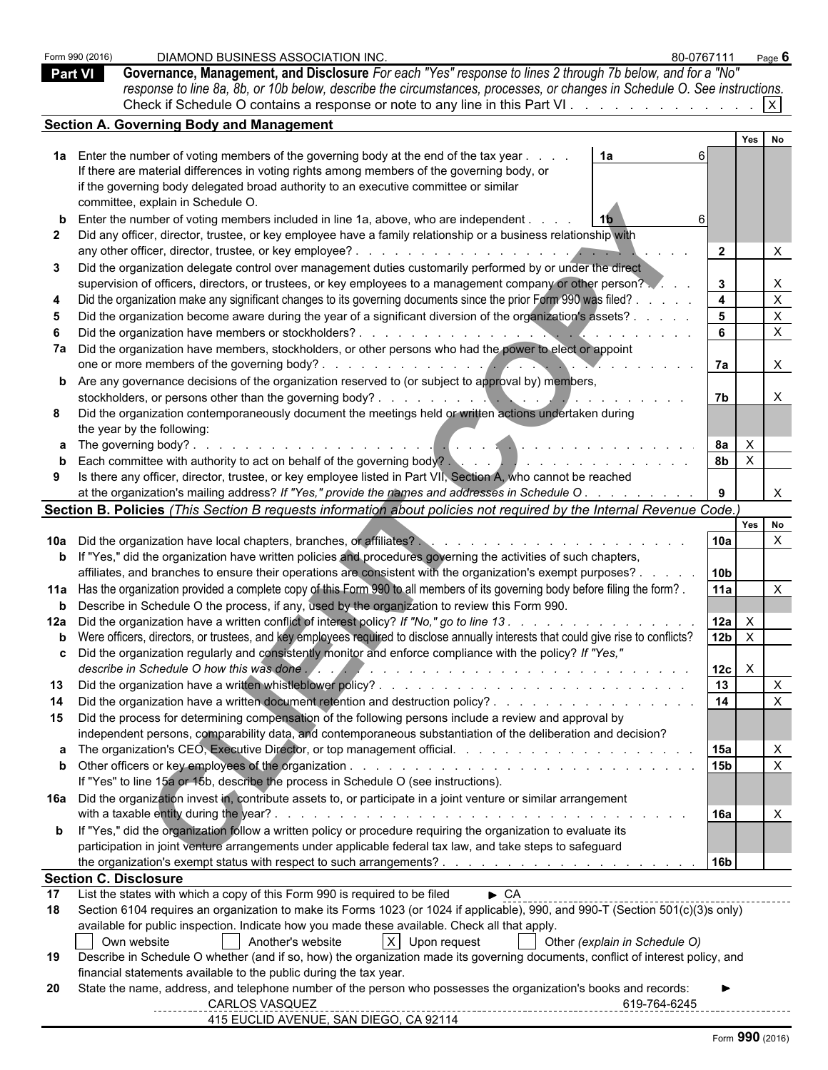| <b>Part VI</b> | Form 990 (2016)              | DIAMOND BUSINESS ASSOCIATION INC.<br>80-0767111<br>Governance, Management, and Disclosure For each "Yes" response to lines 2 through 7b below, and for a "No"<br>response to line 8a, 8b, or 10b below, describe the circumstances, processes, or changes in Schedule O. See instructions.<br>Check if Schedule O contains a response or note to any line in this Part VI. |                        |                              | Page $6$     |
|----------------|------------------------------|----------------------------------------------------------------------------------------------------------------------------------------------------------------------------------------------------------------------------------------------------------------------------------------------------------------------------------------------------------------------------|------------------------|------------------------------|--------------|
|                |                              | <b>Section A. Governing Body and Management</b>                                                                                                                                                                                                                                                                                                                            |                        |                              |              |
|                |                              |                                                                                                                                                                                                                                                                                                                                                                            |                        | Yes                          |              |
|                |                              | 1a Enter the number of voting members of the governing body at the end of the tax year.<br>1a<br>If there are material differences in voting rights among members of the governing body, or<br>if the governing body delegated broad authority to an executive committee or similar                                                                                        |                        |                              |              |
|                |                              | committee, explain in Schedule O.                                                                                                                                                                                                                                                                                                                                          |                        |                              |              |
|                |                              | Enter the number of voting members included in line 1a, above, who are independent.<br>Did any officer, director, trustee, or key employee have a family relationship or a business relationship with                                                                                                                                                                      | $\overline{2}$         |                              | X            |
|                |                              | Did the organization delegate control over management duties customarily performed by or under the direct<br>supervision of officers, directors, or trustees, or key employees to a management company or other person?                                                                                                                                                    | $\mathbf{3}$           |                              | X            |
|                |                              | Did the organization make any significant changes to its governing documents since the prior Form 990 was filed?                                                                                                                                                                                                                                                           | $\overline{4}$         |                              | $\mathsf{X}$ |
|                |                              | Did the organization become aware during the year of a significant diversion of the organization's assets?                                                                                                                                                                                                                                                                 | 5                      |                              | $\mathsf{X}$ |
|                |                              |                                                                                                                                                                                                                                                                                                                                                                            | 6                      |                              | $\mathsf{X}$ |
|                |                              | 7a Did the organization have members, stockholders, or other persons who had the power to elect or appoint                                                                                                                                                                                                                                                                 |                        |                              |              |
|                |                              |                                                                                                                                                                                                                                                                                                                                                                            | <b>7a</b>              |                              | $\mathsf{X}$ |
|                |                              | <b>b</b> Are any governance decisions of the organization reserved to (or subject to approval by) members,                                                                                                                                                                                                                                                                 |                        |                              |              |
|                |                              | Did the organization contemporaneously document the meetings held or written actions undertaken during                                                                                                                                                                                                                                                                     | 7b                     |                              | X            |
|                |                              | the year by the following:                                                                                                                                                                                                                                                                                                                                                 |                        |                              |              |
|                |                              |                                                                                                                                                                                                                                                                                                                                                                            | 8а                     | $\mathsf{X}$                 |              |
|                |                              | Each committee with authority to act on behalf of the governing body?<br>and the set of the set of the set of the set of the set of the set of the set of the set of the set of the set of the set of the set of the set of the                                                                                                                                            | 8 <sub>b</sub>         | $\mathsf{X}$                 |              |
|                |                              | Is there any officer, director, trustee, or key employee listed in Part VII, Section A, who cannot be reached                                                                                                                                                                                                                                                              |                        |                              |              |
|                |                              | at the organization's mailing address? If "Yes," provide the names and addresses in Schedule O.                                                                                                                                                                                                                                                                            | 9                      |                              |              |
|                |                              | Section B. Policies (This Section B requests information about policies not required by the Internal Revenue Code.)                                                                                                                                                                                                                                                        |                        |                              | Yes No       |
|                |                              |                                                                                                                                                                                                                                                                                                                                                                            | 10a                    |                              | $\times$     |
|                |                              | b If "Yes," did the organization have written policies and procedures governing the activities of such chapters,                                                                                                                                                                                                                                                           |                        |                              |              |
|                |                              | affiliates, and branches to ensure their operations are consistent with the organization's exempt purposes? .                                                                                                                                                                                                                                                              | 10 <sub>b</sub>        |                              |              |
|                |                              | 11a Has the organization provided a complete copy of this Form 990 to all members of its governing body before filing the form?.                                                                                                                                                                                                                                           | 11a                    |                              | $\times$     |
|                |                              | <b>b</b> Describe in Schedule O the process, if any, used by the organization to review this Form 990.                                                                                                                                                                                                                                                                     |                        |                              |              |
|                |                              | 12a Did the organization have a written conflict of interest policy? If "No," go to line 13.                                                                                                                                                                                                                                                                               | 12a<br>12 <sub>b</sub> | $\mathsf{X}$<br>$\mathsf{X}$ |              |
|                |                              | b Were officers, directors, or trustees, and key employees required to disclose annually interests that could give rise to conflicts?<br>c Did the organization regularly and consistently monitor and enforce compliance with the policy? If "Yes,"                                                                                                                       |                        |                              |              |
|                |                              | describe in Schedule O how this was done.                                                                                                                                                                                                                                                                                                                                  | 12c                    | $\mathsf{X}$                 |              |
| 13             |                              |                                                                                                                                                                                                                                                                                                                                                                            | 13                     |                              | $\mathsf{X}$ |
|                |                              | Did the organization have a written document retention and destruction policy?                                                                                                                                                                                                                                                                                             | 14                     |                              | $\mathsf{x}$ |
|                |                              | 15 Did the process for determining compensation of the following persons include a review and approval by<br>independent persons, comparability data, and contemporaneous substantiation of the deliberation and decision?                                                                                                                                                 |                        |                              |              |
|                |                              |                                                                                                                                                                                                                                                                                                                                                                            |                        |                              | $\times$     |
|                |                              |                                                                                                                                                                                                                                                                                                                                                                            | 15b                    |                              | $\mathsf{X}$ |
|                |                              | If "Yes" to line 15a or 15b, describe the process in Schedule O (see instructions).                                                                                                                                                                                                                                                                                        |                        |                              |              |
|                |                              | 16a Did the organization invest in, contribute assets to, or participate in a joint venture or similar arrangement                                                                                                                                                                                                                                                         |                        |                              |              |
|                |                              | with a taxable entity during the year?.<br>and the contract of the contract of the contract of the contract of the contract of the contract of the contract of the contract of the contract of the contract of the contract of the contract of the contract of the contra                                                                                                  | <b>16a</b>             |                              | X            |
|                |                              | <b>b</b> If "Yes," did the organization follow a written policy or procedure requiring the organization to evaluate its<br>participation in joint venture arrangements under applicable federal tax law, and take steps to safeguard                                                                                                                                       |                        |                              |              |
|                |                              |                                                                                                                                                                                                                                                                                                                                                                            | l 16b                  |                              |              |
|                | <b>Section C. Disclosure</b> |                                                                                                                                                                                                                                                                                                                                                                            |                        |                              |              |
| 17<br>18       |                              | List the states with which a copy of this Form 990 is required to be filed<br>$\triangleright$ CA<br>Section 6104 requires an organization to make its Forms 1023 (or 1024 if applicable), 990, and 990-T (Section 501(c)(3)s only)                                                                                                                                        |                        |                              |              |
|                |                              | available for public inspection. Indicate how you made these available. Check all that apply.                                                                                                                                                                                                                                                                              |                        |                              |              |
|                |                              | Another's website<br>X Upon request<br>Own website<br>Other (explain in Schedule O)                                                                                                                                                                                                                                                                                        |                        |                              |              |
| 19             |                              | Describe in Schedule O whether (and if so, how) the organization made its governing documents, conflict of interest policy, and                                                                                                                                                                                                                                            |                        |                              |              |
| 20             |                              | financial statements available to the public during the tax year.<br>State the name, address, and telephone number of the person who possesses the organization's books and records:<br><b>CARLOS VASQUEZ</b>                                                                                                                                                              |                        |                              |              |
|                |                              | 619-764-6245<br>415 EUCLID AVENUE, SAN DIEGO, CA 92114                                                                                                                                                                                                                                                                                                                     |                        |                              |              |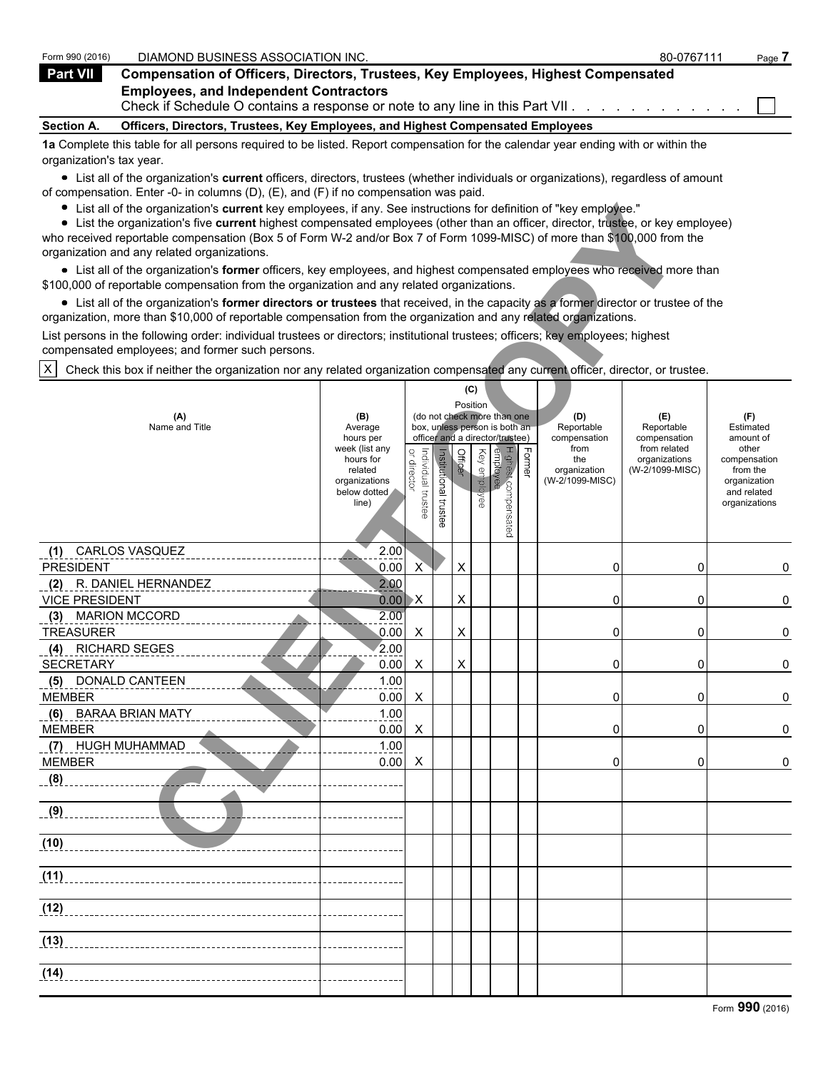| Form 990 (2016)   | DIAMOND BUSINESS ASSOCIATION INC.                                                                                                                                                                                            | 80-0767111 | Page |
|-------------------|------------------------------------------------------------------------------------------------------------------------------------------------------------------------------------------------------------------------------|------------|------|
| <b>Part VII</b>   | <b>Compensation of Officers, Directors, Trustees, Key Employees, Highest Compensated</b>                                                                                                                                     |            |      |
|                   | <b>Employees, and Independent Contractors</b><br>Check if Schedule O contains a response or note to any line in this Part VII.                                                                                               |            |      |
| <b>Section A.</b> | Officers, Directors, Trustees, Key Employees, and Highest Compensated Employees                                                                                                                                              |            |      |
|                   | -4 ≥ ∩econolette that the fight the component of the the Retrain Department of contract the collect of construction of the theory of the theory of the theory of the theory of the theory of the theory of the theory of the |            |      |

**1a** Complete this table for all persons required to be listed. Report compensation for the calendar year ending with or within the organization's tax year.

List all of the organization's **current** officers, directors, trustees (whether individuals or organizations), regardless of amount of compensation. Enter -0- in columns (D), (E), and (F) if no compensation was paid.

| List all of the organization's current key employees, if any. See instructions for definition of "key employee."<br>List the organization's five current highest compensated employees (other than an officer, director, trustee, or key employee)<br>who received reportable compensation (Box 5 of Form W-2 and/or Box 7 of Form 1099-MISC) of more than \$100,000 from the<br>organization and any related organizations. |                                                                |                                   |                          |          |              |                                                                                                 |               |                                           |                                                   |                                                                          |
|------------------------------------------------------------------------------------------------------------------------------------------------------------------------------------------------------------------------------------------------------------------------------------------------------------------------------------------------------------------------------------------------------------------------------|----------------------------------------------------------------|-----------------------------------|--------------------------|----------|--------------|-------------------------------------------------------------------------------------------------|---------------|-------------------------------------------|---------------------------------------------------|--------------------------------------------------------------------------|
| • List all of the organization's former officers, key employees, and highest compensated employees who received more than<br>\$100,000 of reportable compensation from the organization and any related organizations.                                                                                                                                                                                                       |                                                                |                                   |                          |          |              |                                                                                                 |               |                                           |                                                   |                                                                          |
| • List all of the organization's former directors or trustees that received, in the capacity as a former director or trustee of the<br>organization, more than \$10,000 of reportable compensation from the organization and any related organizations.                                                                                                                                                                      |                                                                |                                   |                          |          |              |                                                                                                 |               |                                           |                                                   |                                                                          |
| List persons in the following order: individual trustees or directors; institutional trustees; officers; key employees; highest<br>compensated employees; and former such persons.                                                                                                                                                                                                                                           |                                                                |                                   |                          |          |              |                                                                                                 |               |                                           |                                                   |                                                                          |
| Check this box if neither the organization nor any related organization compensated any current officer, director, or trustee.<br>$\times$                                                                                                                                                                                                                                                                                   |                                                                |                                   |                          |          |              |                                                                                                 |               |                                           |                                                   |                                                                          |
| (A)<br>Name and Title                                                                                                                                                                                                                                                                                                                                                                                                        | (B)<br>Average<br>hours per<br>week (list any                  |                                   |                          | Position | (C)          | (do not check more than one<br>box, unless person is both an<br>officer and a director/trustee) |               | (D)<br>Reportable<br>compensation<br>from | (E)<br>Reportable<br>compensation<br>from related | (F)<br>Estimated<br>amount of<br>other                                   |
|                                                                                                                                                                                                                                                                                                                                                                                                                              | hours for<br>related<br>organizations<br>below dotted<br>line) | or director<br>Individual trustee | Institutional<br>trustee | Officer  | Key employee | Highest compensated<br>employee                                                                 | <b>Former</b> | the<br>organization<br>(W-2/1099-MISC)    | organizations<br>(W-2/1099-MISC)                  | compensation<br>from the<br>organization<br>and related<br>organizations |
| (1) CARLOS VASQUEZ<br><b>PRESIDENT</b>                                                                                                                                                                                                                                                                                                                                                                                       | 2.00<br>0.00                                                   | X                                 |                          | X        |              |                                                                                                 |               | 0                                         | 0                                                 | 0                                                                        |
| (2) R. DANIEL HERNANDEZ<br><b>VICE PRESIDENT</b>                                                                                                                                                                                                                                                                                                                                                                             | 2.00<br>0.00                                                   | $\mathsf{X}$                      |                          | Χ        |              |                                                                                                 |               | 0                                         | 0                                                 | 0                                                                        |
| (3) MARION MCCORD<br><b>TREASURER</b>                                                                                                                                                                                                                                                                                                                                                                                        | 2.00<br>0.00                                                   | X                                 |                          | X        |              |                                                                                                 |               | 0                                         | 0                                                 | 0                                                                        |
| (4) RICHARD SEGES<br><b>SECRETARY</b>                                                                                                                                                                                                                                                                                                                                                                                        | 2.00<br>0.00                                                   | X                                 |                          | X        |              |                                                                                                 |               | 0                                         | 0                                                 | 0                                                                        |
| (5) DONALD CANTEEN<br><b>MEMBER</b>                                                                                                                                                                                                                                                                                                                                                                                          | 1.00<br>0.00                                                   | X                                 |                          |          |              |                                                                                                 |               | 0                                         | 0                                                 | 0                                                                        |
| (6) BARAA BRIAN MATY<br><b>MEMBER</b>                                                                                                                                                                                                                                                                                                                                                                                        | 1.00<br>0.00                                                   | X                                 |                          |          |              |                                                                                                 |               | 0                                         | 0                                                 | 0                                                                        |
| (7) HUGH MUHAMMAD<br><b>MEMBER</b>                                                                                                                                                                                                                                                                                                                                                                                           | 1.00<br>0.00                                                   | X                                 |                          |          |              |                                                                                                 |               | 0                                         | 0                                                 | 0                                                                        |
| (8)                                                                                                                                                                                                                                                                                                                                                                                                                          |                                                                |                                   |                          |          |              |                                                                                                 |               |                                           |                                                   |                                                                          |
| <u>__(9)</u>                                                                                                                                                                                                                                                                                                                                                                                                                 |                                                                |                                   |                          |          |              |                                                                                                 |               |                                           |                                                   |                                                                          |
| (10)                                                                                                                                                                                                                                                                                                                                                                                                                         |                                                                |                                   |                          |          |              |                                                                                                 |               |                                           |                                                   |                                                                          |
| (11)                                                                                                                                                                                                                                                                                                                                                                                                                         |                                                                |                                   |                          |          |              |                                                                                                 |               |                                           |                                                   |                                                                          |
| (12)                                                                                                                                                                                                                                                                                                                                                                                                                         |                                                                |                                   |                          |          |              |                                                                                                 |               |                                           |                                                   |                                                                          |
| (13)                                                                                                                                                                                                                                                                                                                                                                                                                         |                                                                |                                   |                          |          |              |                                                                                                 |               |                                           |                                                   |                                                                          |
| (14)                                                                                                                                                                                                                                                                                                                                                                                                                         |                                                                |                                   |                          |          |              |                                                                                                 |               |                                           |                                                   |                                                                          |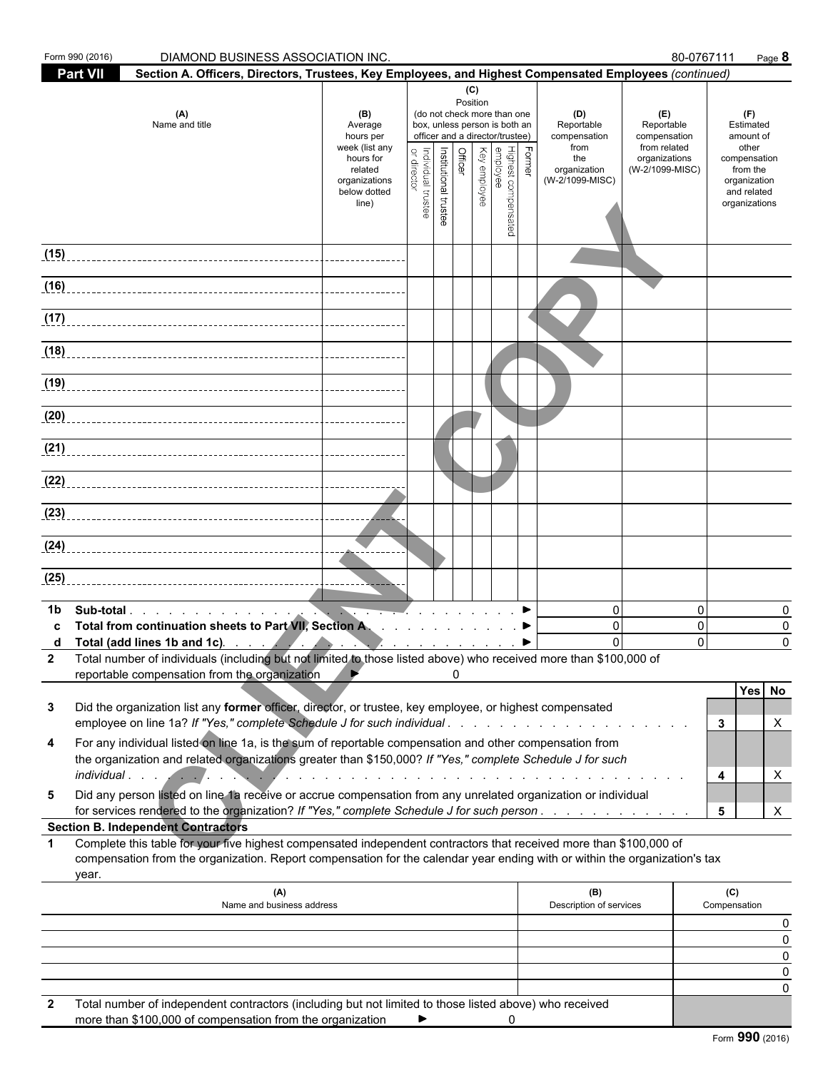|              | Form 990 (2016)<br>DIAMOND BUSINESS ASSOCIATION INC.                                                                                                                                                                                                                                                                                             |                                                                                                                 |                                    |                       |                |                 |                                                                                                                                                              |        |                                                                                     |                                                                                       | 80-0767111<br>Page 8                                                                                               |                    |
|--------------|--------------------------------------------------------------------------------------------------------------------------------------------------------------------------------------------------------------------------------------------------------------------------------------------------------------------------------------------------|-----------------------------------------------------------------------------------------------------------------|------------------------------------|-----------------------|----------------|-----------------|--------------------------------------------------------------------------------------------------------------------------------------------------------------|--------|-------------------------------------------------------------------------------------|---------------------------------------------------------------------------------------|--------------------------------------------------------------------------------------------------------------------|--------------------|
|              | <b>Part VII</b><br>Section A. Officers, Directors, Trustees, Key Employees, and Highest Compensated Employees (continued)                                                                                                                                                                                                                        |                                                                                                                 |                                    |                       |                |                 |                                                                                                                                                              |        |                                                                                     |                                                                                       |                                                                                                                    |                    |
|              | (A)<br>Name and title                                                                                                                                                                                                                                                                                                                            | (B)<br>Average<br>hours per<br>week (list any<br>hours for<br>related<br>organizations<br>below dotted<br>line) | or director<br>Individual trustee  | Institutional trustee | <b>Officer</b> | (C)<br>Position | (do not check more than one<br>box, unless person is both an<br>officer and a director/trustee)<br>Highest comper<br>employee<br>Key employee<br>compensated | Former | (D)<br>Reportable<br>compensation<br>from<br>the<br>organization<br>(W-2/1099-MISC) | (E)<br>Reportable<br>compensation<br>from related<br>organizations<br>(W-2/1099-MISC) | (F)<br>Estimated<br>amount of<br>other<br>compensation<br>from the<br>organization<br>and related<br>organizations |                    |
| (15)         |                                                                                                                                                                                                                                                                                                                                                  |                                                                                                                 |                                    |                       |                |                 |                                                                                                                                                              |        |                                                                                     |                                                                                       |                                                                                                                    |                    |
| (16)         |                                                                                                                                                                                                                                                                                                                                                  |                                                                                                                 |                                    |                       |                |                 |                                                                                                                                                              |        |                                                                                     |                                                                                       |                                                                                                                    |                    |
|              |                                                                                                                                                                                                                                                                                                                                                  |                                                                                                                 |                                    |                       |                |                 |                                                                                                                                                              |        |                                                                                     |                                                                                       |                                                                                                                    |                    |
|              |                                                                                                                                                                                                                                                                                                                                                  |                                                                                                                 |                                    |                       |                |                 |                                                                                                                                                              |        |                                                                                     |                                                                                       |                                                                                                                    |                    |
|              | (18)                                                                                                                                                                                                                                                                                                                                             |                                                                                                                 |                                    |                       |                |                 |                                                                                                                                                              |        |                                                                                     |                                                                                       |                                                                                                                    |                    |
| (19)         |                                                                                                                                                                                                                                                                                                                                                  |                                                                                                                 |                                    |                       |                |                 |                                                                                                                                                              |        |                                                                                     |                                                                                       |                                                                                                                    |                    |
| (20)         |                                                                                                                                                                                                                                                                                                                                                  |                                                                                                                 |                                    |                       |                |                 |                                                                                                                                                              |        |                                                                                     |                                                                                       |                                                                                                                    |                    |
| (21)         |                                                                                                                                                                                                                                                                                                                                                  |                                                                                                                 |                                    |                       |                |                 |                                                                                                                                                              |        |                                                                                     |                                                                                       |                                                                                                                    |                    |
| (22)         |                                                                                                                                                                                                                                                                                                                                                  |                                                                                                                 |                                    |                       |                |                 |                                                                                                                                                              |        |                                                                                     |                                                                                       |                                                                                                                    |                    |
|              |                                                                                                                                                                                                                                                                                                                                                  |                                                                                                                 |                                    |                       |                |                 |                                                                                                                                                              |        |                                                                                     |                                                                                       |                                                                                                                    |                    |
|              |                                                                                                                                                                                                                                                                                                                                                  |                                                                                                                 |                                    |                       |                |                 |                                                                                                                                                              |        |                                                                                     |                                                                                       |                                                                                                                    |                    |
| (25)         |                                                                                                                                                                                                                                                                                                                                                  |                                                                                                                 |                                    |                       |                |                 |                                                                                                                                                              |        |                                                                                     |                                                                                       |                                                                                                                    |                    |
| 1b           | Total from continuation sheets to Part VII, Section A. ▶<br>Total (add lines 1b and 1c). $\qquad \qquad$ $\qquad \qquad$ $\qquad \qquad$ $\qquad \qquad$ $\qquad \qquad$<br>2 Total number of individuals (including but not limited to those listed above) who received more than \$100,000 of<br>reportable compensation from the organization |                                                                                                                 | $\mathbb{Z}$ $\blacktriangleright$ |                       | 0              |                 |                                                                                                                                                              |        | $\mathbf{0}$<br>$\mathbf{0}$<br>$\Omega$                                            |                                                                                       | $\mathbf 0$<br>$\mathbf 0$<br>$\Omega$                                                                             | 0<br>0<br>$\Omega$ |
| 3            | Did the organization list any former officer, director, or trustee, key employee, or highest compensated<br>employee on line 1a? If "Yes," complete Schedule J for such individual                                                                                                                                                               |                                                                                                                 |                                    |                       |                |                 |                                                                                                                                                              |        |                                                                                     |                                                                                       | Yes No<br>3                                                                                                        | X                  |
| 4            | For any individual listed on line 1a, is the sum of reportable compensation and other compensation from<br>the organization and related organizations greater than \$150,000? If "Yes," complete Schedule J for such                                                                                                                             |                                                                                                                 |                                    |                       |                |                 |                                                                                                                                                              |        |                                                                                     |                                                                                       | 4                                                                                                                  | X                  |
| 5            | Did any person listed on line 1a receive or accrue compensation from any unrelated organization or individual<br>for services rendered to the organization? If "Yes," complete Schedule J for such person.                                                                                                                                       |                                                                                                                 |                                    |                       |                |                 |                                                                                                                                                              |        |                                                                                     |                                                                                       | 5                                                                                                                  | X                  |
| $\mathbf 1$  | <b>Section B. Independent Contractors</b><br>Complete this table for your five highest compensated independent contractors that received more than \$100,000 of<br>compensation from the organization. Report compensation for the calendar year ending with or within the organization's tax<br>year.                                           |                                                                                                                 |                                    |                       |                |                 |                                                                                                                                                              |        |                                                                                     |                                                                                       |                                                                                                                    |                    |
|              | (A)<br>Name and business address                                                                                                                                                                                                                                                                                                                 |                                                                                                                 |                                    |                       |                |                 |                                                                                                                                                              |        | (B)<br>Description of services                                                      |                                                                                       | (C)<br>Compensation                                                                                                |                    |
|              |                                                                                                                                                                                                                                                                                                                                                  |                                                                                                                 |                                    |                       |                |                 |                                                                                                                                                              |        |                                                                                     |                                                                                       |                                                                                                                    | 0                  |
|              |                                                                                                                                                                                                                                                                                                                                                  |                                                                                                                 |                                    |                       |                |                 |                                                                                                                                                              |        |                                                                                     |                                                                                       |                                                                                                                    | 0<br>0             |
|              |                                                                                                                                                                                                                                                                                                                                                  |                                                                                                                 |                                    |                       |                |                 |                                                                                                                                                              |        |                                                                                     |                                                                                       |                                                                                                                    | 0<br>0             |
| $\mathbf{2}$ | Total number of independent contractors (including but not limited to those listed above) who received                                                                                                                                                                                                                                           |                                                                                                                 |                                    |                       |                |                 |                                                                                                                                                              |        |                                                                                     |                                                                                       |                                                                                                                    |                    |

| more than \$100,000 of compensation from the organization |  |  |  |
|-----------------------------------------------------------|--|--|--|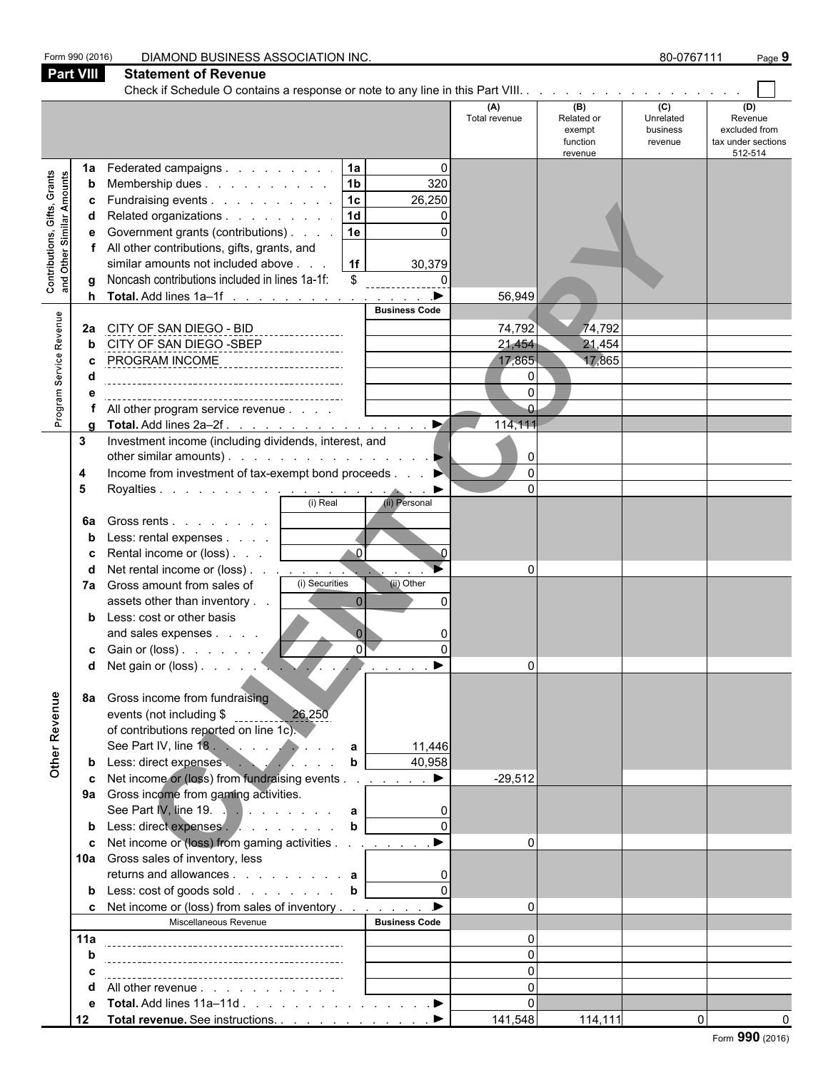| Form 990 (2016)                                                  |                                         | 80-0767111<br>DIAMOND BUSINESS ASSOCIATION INC.<br>Page 9                                                                                                                                                                                                                                                                                                                                                                                                                                                                                                                                                                                                                                                                                                                                                                                                                                                                                                                                      |                                                                                                                                                                  |                                                       |                                                    |                                                                  |  |  |
|------------------------------------------------------------------|-----------------------------------------|------------------------------------------------------------------------------------------------------------------------------------------------------------------------------------------------------------------------------------------------------------------------------------------------------------------------------------------------------------------------------------------------------------------------------------------------------------------------------------------------------------------------------------------------------------------------------------------------------------------------------------------------------------------------------------------------------------------------------------------------------------------------------------------------------------------------------------------------------------------------------------------------------------------------------------------------------------------------------------------------|------------------------------------------------------------------------------------------------------------------------------------------------------------------|-------------------------------------------------------|----------------------------------------------------|------------------------------------------------------------------|--|--|
| <b>Part VIII</b>                                                 |                                         | <b>Statement of Revenue</b>                                                                                                                                                                                                                                                                                                                                                                                                                                                                                                                                                                                                                                                                                                                                                                                                                                                                                                                                                                    |                                                                                                                                                                  |                                                       |                                                    |                                                                  |  |  |
|                                                                  |                                         |                                                                                                                                                                                                                                                                                                                                                                                                                                                                                                                                                                                                                                                                                                                                                                                                                                                                                                                                                                                                |                                                                                                                                                                  |                                                       |                                                    |                                                                  |  |  |
|                                                                  |                                         |                                                                                                                                                                                                                                                                                                                                                                                                                                                                                                                                                                                                                                                                                                                                                                                                                                                                                                                                                                                                | (A)<br>Total revenue                                                                                                                                             | (B)<br>Related or<br>exempt<br>function<br>revenue    | $\overline{C}$<br>Unrelated<br>business<br>revenue | (D)<br>Revenue<br>excluded from<br>tax under sections<br>512-514 |  |  |
| <b>Contributions, Gifts, Grants</b><br>and Other Similar Amounts | 1a<br>b<br>c<br>q<br>h                  | 1a <br>Federated campaigns<br>1 <sub>b</sub><br>Membership dues<br>Fundraising events 1c<br> 1d <br>Related organizations<br>Government grants (contributions)<br> 1e <br>All other contributions, gifts, grants, and<br>similar amounts not included above<br> 1f <br>Noncash contributions included in lines 1a-1f:<br>\$<br>Total. Add lines 1a-1f                                                                                                                                                                                                                                                                                                                                                                                                                                                                                                                                                                                                                                          | $\Omega$<br>320<br>26,250<br>0<br>$\Omega$<br>30,379<br>$\mathsf{O}\xspace$<br>________________<br>$\begin{array}{c}\n\bullet \\ \bullet\n\end{array}$<br>56,949 |                                                       |                                                    |                                                                  |  |  |
| Program Service Revenue                                          | 2a                                      | CITY OF SAN DIEGO - BID<br>________________<br>CITY OF SAN DIEGO -SBEP<br>PROGRAM INCOME<br>All other program service revenue<br>Total. Add lines 2a-2f.                                                                                                                                                                                                                                                                                                                                                                                                                                                                                                                                                                                                                                                                                                                                                                                                                                       | <b>Business Code</b><br>74,792<br>21,454<br>17,865<br>$\blacktriangleright$<br>114,111                                                                           | 74,792<br>21,454<br>17,865<br>$\mathbf 0$<br>$\Omega$ |                                                    |                                                                  |  |  |
| Other Revenue                                                    | 3<br>4<br>5<br>6a<br>d<br>7а<br>8a<br>b | Investment income (including dividends, interest, and<br>other similar amounts). $\ldots$ $\ldots$ $\ldots$ $\ldots$ $\ldots$ $\ldots$<br>Income from investment of tax-exempt bond proceeds<br>(i) Real<br>Gross rents $\ldots$ $\ldots$ $\ldots$<br>Less: rental expenses $\ldots$ $\ldots$<br>$\triangle$ 0<br>Rental income or (loss)  <br>Net rental income or (loss)<br>(i) Securities<br>Gross amount from sales of<br>$\Omega$<br>assets other than inventory<br>Less: cost or other basis<br>$\Omega$<br>and sales expenses<br>οľ<br>c Gain or (loss). $\ldots$ . $\ldots$<br>Gross income from fundraising<br>26,250<br>events (not including \$ ________<br>of contributions reported on line 1c).<br>Less: direct expenses<br>b<br>Net income or (loss) from fundraising events<br>9a Gross income from gaming activities.<br>See Part IV, line 19. $\therefore$ a<br>Less: direct expenses b<br>Net income or (loss) from gaming activities<br>10a Gross sales of inventory, less | (ii) Personal<br>∩<br>(ii) Other<br>$\Omega$<br>$\bullet$<br>11,446<br>40,958<br>$\blacktriangleright$<br>$-29,512$                                              | 0<br>$\Omega$<br>$\Omega$<br>$\Omega$                 |                                                    |                                                                  |  |  |
|                                                                  | b<br>11a<br>d<br>е<br>12                | returns and allowances <b>a</b><br>Less: cost of goods sold b<br>c Net income or (loss) from sales of inventory<br>Miscellaneous Revenue<br>All other revenue<br>Total. Add lines 11a–11d ▶<br>Total revenue. See instructions. ▶                                                                                                                                                                                                                                                                                                                                                                                                                                                                                                                                                                                                                                                                                                                                                              | <b>Business Code</b><br>141,548                                                                                                                                  | $\Omega$<br>114,111                                   |                                                    | $\Omega$                                                         |  |  |

Form **990** (2016)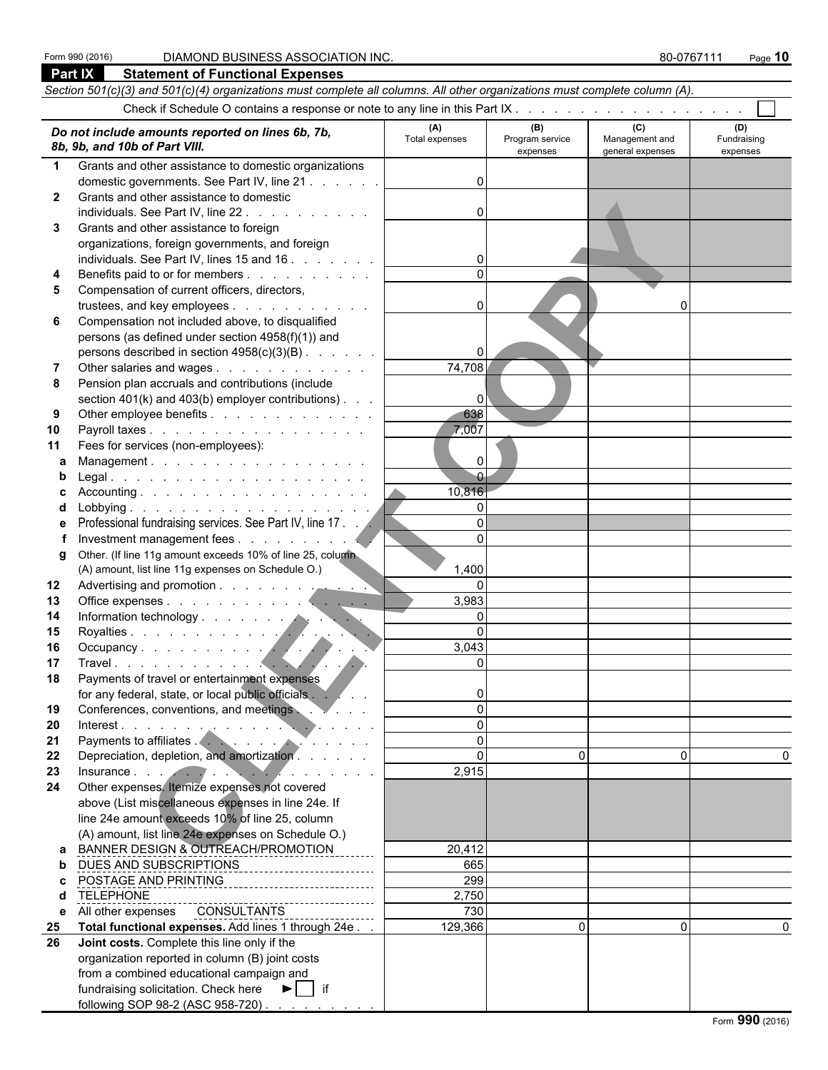|              | Part IX<br><b>Statement of Functional Expenses</b>                                                                                                                                                                             |                         |                 |                  |             |  |  |  |  |  |
|--------------|--------------------------------------------------------------------------------------------------------------------------------------------------------------------------------------------------------------------------------|-------------------------|-----------------|------------------|-------------|--|--|--|--|--|
|              | Section 501(c)(3) and 501(c)(4) organizations must complete all columns. All other organizations must complete column (A).                                                                                                     |                         |                 |                  |             |  |  |  |  |  |
|              |                                                                                                                                                                                                                                |                         |                 |                  |             |  |  |  |  |  |
|              |                                                                                                                                                                                                                                | (A)                     | (B)             | (C)              | (D)         |  |  |  |  |  |
|              | Do not include amounts reported on lines 6b, 7b,                                                                                                                                                                               | Total expenses          | Program service | Management and   | Fundraising |  |  |  |  |  |
|              | 8b, 9b, and 10b of Part VIII.                                                                                                                                                                                                  |                         | expenses        | general expenses | expenses    |  |  |  |  |  |
| $\mathbf 1$  | Grants and other assistance to domestic organizations                                                                                                                                                                          |                         |                 |                  |             |  |  |  |  |  |
|              | domestic governments. See Part IV, line 21                                                                                                                                                                                     | $\Omega$                |                 |                  |             |  |  |  |  |  |
| $\mathbf{2}$ | Grants and other assistance to domestic                                                                                                                                                                                        |                         |                 |                  |             |  |  |  |  |  |
|              | individuals. See Part IV, line 22.                                                                                                                                                                                             | $\Omega$                |                 |                  |             |  |  |  |  |  |
| 3            | Grants and other assistance to foreign                                                                                                                                                                                         |                         |                 |                  |             |  |  |  |  |  |
|              | organizations, foreign governments, and foreign                                                                                                                                                                                |                         |                 |                  |             |  |  |  |  |  |
| 4            | individuals. See Part IV, lines 15 and 16<br>Benefits paid to or for members                                                                                                                                                   |                         |                 |                  |             |  |  |  |  |  |
| 5            | Compensation of current officers, directors,                                                                                                                                                                                   |                         |                 |                  |             |  |  |  |  |  |
|              | trustees, and key employees                                                                                                                                                                                                    | 0                       |                 |                  |             |  |  |  |  |  |
| 6            | Compensation not included above, to disqualified                                                                                                                                                                               |                         |                 |                  |             |  |  |  |  |  |
|              | persons (as defined under section 4958(f)(1)) and                                                                                                                                                                              |                         |                 |                  |             |  |  |  |  |  |
|              | persons described in section 4958(c)(3)(B)                                                                                                                                                                                     | 0                       |                 |                  |             |  |  |  |  |  |
|              | Other salaries and wages                                                                                                                                                                                                       | 74,708                  |                 |                  |             |  |  |  |  |  |
| 8            | Pension plan accruals and contributions (include                                                                                                                                                                               |                         |                 |                  |             |  |  |  |  |  |
|              | section $401(k)$ and $403(b)$ employer contributions).                                                                                                                                                                         | $\overline{0}$          |                 |                  |             |  |  |  |  |  |
| 9            | Other employee benefits                                                                                                                                                                                                        | 638                     |                 |                  |             |  |  |  |  |  |
| 10           | Payroll taxes                                                                                                                                                                                                                  | 7,007                   |                 |                  |             |  |  |  |  |  |
| 11           | Fees for services (non-employees):                                                                                                                                                                                             |                         |                 |                  |             |  |  |  |  |  |
| a            | Management.                                                                                                                                                                                                                    | $\Omega$                |                 |                  |             |  |  |  |  |  |
|              | L <mark>egal.</mark>                                                                                                                                                                                                           | $\overline{0}$          |                 |                  |             |  |  |  |  |  |
|              |                                                                                                                                                                                                                                | 10,816                  |                 |                  |             |  |  |  |  |  |
| d            |                                                                                                                                                                                                                                | $\Omega$                |                 |                  |             |  |  |  |  |  |
|              | Professional fundraising services. See Part IV, line 17.                                                                                                                                                                       | $\Omega$                |                 |                  |             |  |  |  |  |  |
|              |                                                                                                                                                                                                                                | $\Omega$                |                 |                  |             |  |  |  |  |  |
| g            | Other. (If line 11g amount exceeds 10% of line 25, column                                                                                                                                                                      |                         |                 |                  |             |  |  |  |  |  |
|              | (A) amount, list line 11g expenses on Schedule O.)                                                                                                                                                                             | 1,400                   |                 |                  |             |  |  |  |  |  |
| 12           | Advertising and promotion                                                                                                                                                                                                      | $\Omega$                |                 |                  |             |  |  |  |  |  |
| 13           |                                                                                                                                                                                                                                | 3,983                   |                 |                  |             |  |  |  |  |  |
| 14           | Information technology<br>Royalties<br>Occupancy<br>Travel                                                                                                                                                                     | $\mathbf{0}$            |                 |                  |             |  |  |  |  |  |
| 15           |                                                                                                                                                                                                                                | $\Omega$                |                 |                  |             |  |  |  |  |  |
| 16<br>17     |                                                                                                                                                                                                                                | 3,043<br>$\overline{0}$ |                 |                  |             |  |  |  |  |  |
| 18           | Payments of travel or entertainment expenses                                                                                                                                                                                   |                         |                 |                  |             |  |  |  |  |  |
|              | for any federal, state, or local public officials                                                                                                                                                                              | 0                       |                 |                  |             |  |  |  |  |  |
| 19           | Conferences, conventions, and meetings                                                                                                                                                                                         | $\Omega$                |                 |                  |             |  |  |  |  |  |
| 20           | Interest.                                                                                                                                                                                                                      | $\Omega$                |                 |                  |             |  |  |  |  |  |
| 21           |                                                                                                                                                                                                                                | $\Omega$                |                 |                  |             |  |  |  |  |  |
| 22           | Depreciation, depletion, and amortization.                                                                                                                                                                                     | $\Omega$                | $\Omega$        | 0                |             |  |  |  |  |  |
| 23           | Insurance in the contract of the contract of the contract of the contract of the contract of the contract of the contract of the contract of the contract of the contract of the contract of the contract of the contract of t | 2,915                   |                 |                  |             |  |  |  |  |  |
| 24           | Other expenses. Itemize expenses not covered                                                                                                                                                                                   |                         |                 |                  |             |  |  |  |  |  |
|              | above (List miscellaneous expenses in line 24e. If                                                                                                                                                                             |                         |                 |                  |             |  |  |  |  |  |
|              | line 24e amount exceeds 10% of line 25, column                                                                                                                                                                                 |                         |                 |                  |             |  |  |  |  |  |
|              | (A) amount, list line 24e expenses on Schedule O.)                                                                                                                                                                             |                         |                 |                  |             |  |  |  |  |  |
| a            | BANNER DESIGN & OUTREACH/PROMOTION                                                                                                                                                                                             | 20,412                  |                 |                  |             |  |  |  |  |  |
| b            | DUES AND SUBSCRIPTIONS                                                                                                                                                                                                         | 665                     |                 |                  |             |  |  |  |  |  |
| C.           | POSTAGE AND PRINTING                                                                                                                                                                                                           | 299                     |                 |                  |             |  |  |  |  |  |
| d            | <b>TELEPHONE</b>                                                                                                                                                                                                               | 2,750                   |                 |                  |             |  |  |  |  |  |
| е            | All other expenses CONSULTANTS                                                                                                                                                                                                 | 730                     |                 |                  |             |  |  |  |  |  |
| 25           | Total functional expenses. Add lines 1 through 24e                                                                                                                                                                             | 129,366                 | $\Omega$        | $\Omega$         | $\Omega$    |  |  |  |  |  |
| 26           | Joint costs. Complete this line only if the                                                                                                                                                                                    |                         |                 |                  |             |  |  |  |  |  |
|              | organization reported in column (B) joint costs                                                                                                                                                                                |                         |                 |                  |             |  |  |  |  |  |
|              | from a combined educational campaign and                                                                                                                                                                                       |                         |                 |                  |             |  |  |  |  |  |
|              | fundraising solicitation. Check here $\blacktriangleright$   if                                                                                                                                                                |                         |                 |                  |             |  |  |  |  |  |
|              | following SOP 98-2 (ASC 958-720)                                                                                                                                                                                               |                         |                 |                  |             |  |  |  |  |  |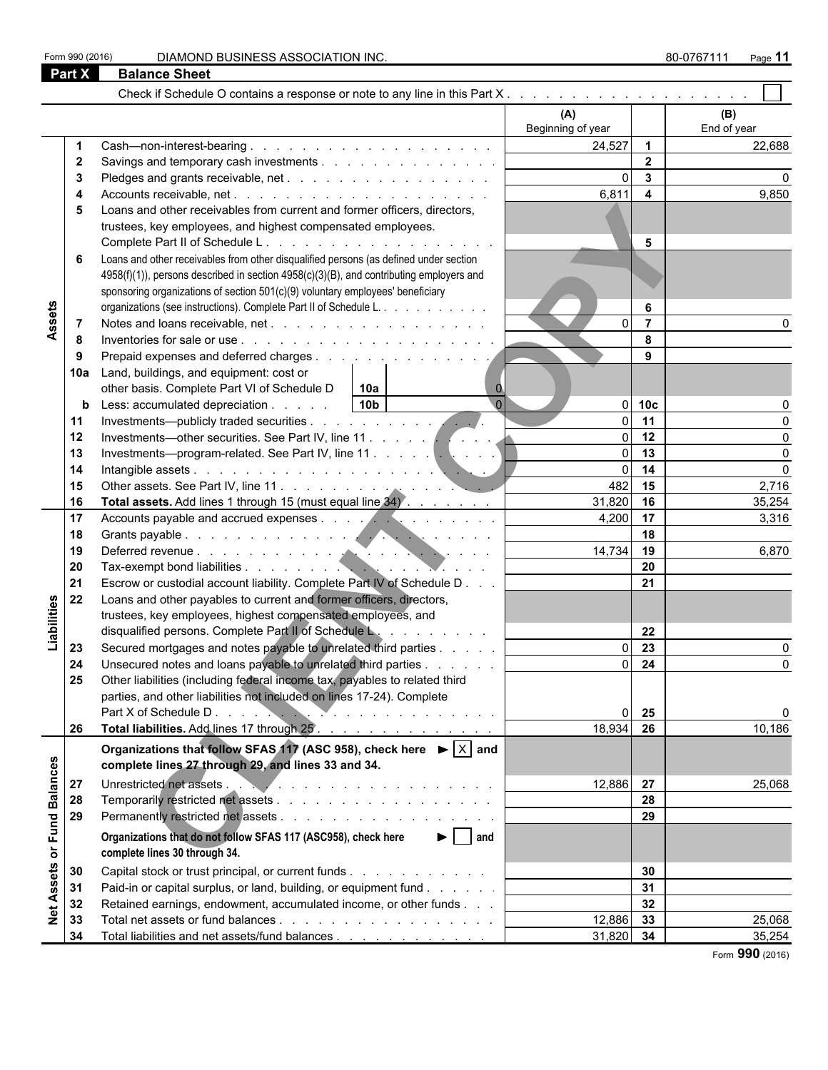Form 990 (2016) DIAMOND BUSINESS ASSOCIATION INC. **80-0767111** Page 11

|                              | Part X                                                                                                                                                                    | <b>Balance Sheet</b>                                                                               |                   |                         |                 |
|------------------------------|---------------------------------------------------------------------------------------------------------------------------------------------------------------------------|----------------------------------------------------------------------------------------------------|-------------------|-------------------------|-----------------|
|                              |                                                                                                                                                                           |                                                                                                    |                   |                         |                 |
|                              |                                                                                                                                                                           |                                                                                                    | (A)               |                         | (B)             |
|                              |                                                                                                                                                                           |                                                                                                    | Beginning of year |                         | End of year     |
|                              |                                                                                                                                                                           |                                                                                                    | 24,527            | $\overline{\mathbf{1}}$ | 22,688          |
|                              | $\mathbf{2}$                                                                                                                                                              |                                                                                                    |                   | $\overline{2}$          |                 |
|                              |                                                                                                                                                                           |                                                                                                    | $\Omega$          | $\overline{\mathbf{3}}$ |                 |
|                              |                                                                                                                                                                           |                                                                                                    | 6,811             | $\overline{\mathbf{4}}$ | 9,850           |
|                              |                                                                                                                                                                           | Loans and other receivables from current and former officers, directors,                           |                   |                         |                 |
|                              |                                                                                                                                                                           | trustees, key employees, and highest compensated employees.                                        |                   |                         |                 |
|                              |                                                                                                                                                                           |                                                                                                    |                   | 5                       |                 |
|                              | 6                                                                                                                                                                         | Loans and other receivables from other disqualified persons (as defined under section              |                   |                         |                 |
|                              |                                                                                                                                                                           | 4958(f)(1)), persons described in section 4958(c)(3)(B), and contributing employers and            |                   |                         |                 |
|                              |                                                                                                                                                                           | sponsoring organizations of section 501(c)(9) voluntary employees' beneficiary                     |                   |                         |                 |
|                              |                                                                                                                                                                           | organizations (see instructions). Complete Part II of Schedule L.                                  |                   | 6                       |                 |
|                              | $\overline{7}$                                                                                                                                                            |                                                                                                    |                   | $\overline{7}$          |                 |
|                              | 8                                                                                                                                                                         |                                                                                                    |                   | 8                       |                 |
|                              | 9                                                                                                                                                                         |                                                                                                    |                   | 9                       |                 |
|                              | 10a                                                                                                                                                                       | Land, buildings, and equipment: cost or                                                            |                   |                         |                 |
|                              |                                                                                                                                                                           | other basis. Complete Part VI of Schedule D<br> 10a <br>$\mathbf{0}$                               |                   |                         |                 |
|                              | b                                                                                                                                                                         | $\overline{0}$<br>10 <sub>b</sub><br>Less: accumulated depreciation                                | ΩI                | 10 <sub>c</sub>         |                 |
|                              |                                                                                                                                                                           |                                                                                                    | $\Omega$          | 11                      |                 |
|                              |                                                                                                                                                                           |                                                                                                    | ΩI                | 12                      |                 |
|                              |                                                                                                                                                                           |                                                                                                    | ΩI<br>ΩI          | 13<br>14                | $\Omega$        |
|                              |                                                                                                                                                                           |                                                                                                    | 482               | 15                      | $\Omega$        |
|                              |                                                                                                                                                                           |                                                                                                    | 31,820            | 16                      | 2,716<br>35,254 |
|                              |                                                                                                                                                                           | Total assets. Add lines 1 through 15 (must equal line 34).                                         | 4,200             | 17                      | 3,316           |
|                              |                                                                                                                                                                           |                                                                                                    |                   | 18                      |                 |
|                              |                                                                                                                                                                           |                                                                                                    | 14,734            | 19                      | 6,870           |
|                              |                                                                                                                                                                           |                                                                                                    |                   | 20                      |                 |
|                              |                                                                                                                                                                           | Escrow or custodial account liability. Complete Part IV of Schedule D                              |                   | 21                      |                 |
|                              |                                                                                                                                                                           | Loans and other payables to current and former officers, directors,                                |                   |                         |                 |
|                              |                                                                                                                                                                           | trustees, key employees, highest compensated employees, and                                        |                   |                         |                 |
|                              |                                                                                                                                                                           | disqualified persons. Complete Part II of Schedule L.                                              |                   | 22                      |                 |
|                              | 23                                                                                                                                                                        | Secured mortgages and notes payable to unrelated third parties                                     | ΩI                | 23                      |                 |
|                              | 24                                                                                                                                                                        | Unsecured notes and loans payable to unrelated third parties                                       | $\Omega$          | $\overline{24}$         |                 |
|                              | 25                                                                                                                                                                        | Other liabilities (including federal income tax, payables to related third                         |                   |                         |                 |
| Liabilities                  |                                                                                                                                                                           | parties, and other liabilities not included on lines 17-24). Complete                              |                   |                         |                 |
|                              | Assets<br>11<br>12<br>13<br>14<br>15<br>16<br>17<br>18<br>19<br>20<br>21<br>22<br>26<br><b>Balances</b><br>27<br>28<br>Fund<br>29<br>Assets<br>30<br>31<br>32<br>33<br>34 |                                                                                                    | $\Omega$          | 25                      | $\Omega$        |
|                              |                                                                                                                                                                           |                                                                                                    | 18,934            | 26                      | 10,186          |
|                              |                                                                                                                                                                           | Organizations that follow SFAS 117 (ASC 958), check here $\blacktriangleright \lceil X \rceil$ and |                   |                         |                 |
|                              |                                                                                                                                                                           | complete lines 27 through 29, and lines 33 and 34.                                                 |                   |                         |                 |
|                              |                                                                                                                                                                           | Unrestricted net assets<br>.                                                                       | 12,886 27         |                         | 25,068          |
|                              |                                                                                                                                                                           |                                                                                                    |                   | 28                      |                 |
|                              |                                                                                                                                                                           |                                                                                                    |                   | 29                      |                 |
|                              |                                                                                                                                                                           | $\blacktriangleright$   and<br>Organizations that do not follow SFAS 117 (ASC958), check here      |                   |                         |                 |
| $\overleftarrow{\mathbf{o}}$ |                                                                                                                                                                           | complete lines 30 through 34.                                                                      |                   |                         |                 |
|                              |                                                                                                                                                                           | Capital stock or trust principal, or current funds                                                 |                   | 30                      |                 |
|                              |                                                                                                                                                                           | Paid-in or capital surplus, or land, building, or equipment fund                                   |                   | 31                      |                 |
|                              |                                                                                                                                                                           | Retained earnings, endowment, accumulated income, or other funds                                   |                   | 32                      |                 |
| $\frac{1}{2}$                |                                                                                                                                                                           |                                                                                                    | 12,886 33         |                         | 25,068          |
|                              |                                                                                                                                                                           | Total liabilities and net assets/fund balances                                                     | 31,820 34         |                         | 35,254          |

Form **990** (2016)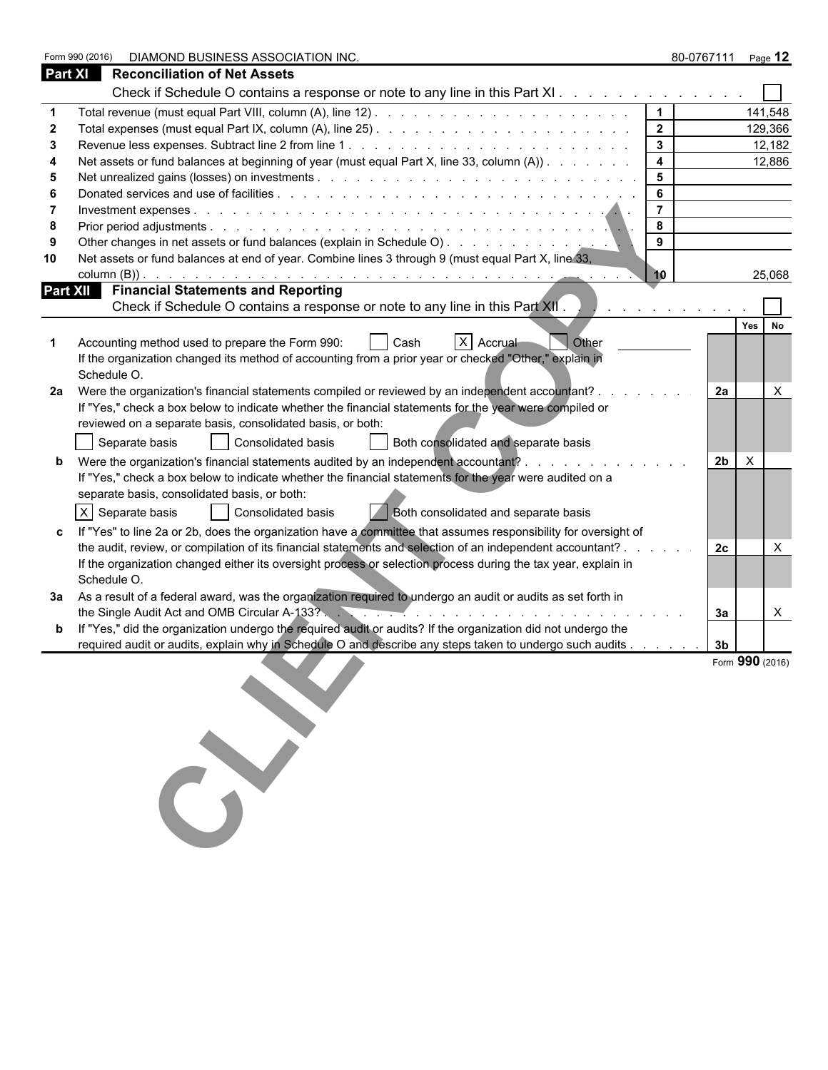|                | Form 990 (2016) | DIAMOND BUSINESS ASSOCIATION INC.                                                                                                                                                      |                         |                | 80-0767111 Page 12 |
|----------------|-----------------|----------------------------------------------------------------------------------------------------------------------------------------------------------------------------------------|-------------------------|----------------|--------------------|
| <b>Part XI</b> |                 | <b>Reconciliation of Net Assets</b>                                                                                                                                                    |                         |                |                    |
|                |                 | Check if Schedule O contains a response or note to any line in this Part XI.                                                                                                           |                         |                |                    |
|                |                 |                                                                                                                                                                                        |                         |                | 141,548            |
|                |                 |                                                                                                                                                                                        | $\overline{\mathbf{2}}$ |                | 129,366            |
|                |                 |                                                                                                                                                                                        | $\mathbf{3}$            |                | 12,182             |
|                |                 | Net assets or fund balances at beginning of year (must equal Part X, line 33, column (A))                                                                                              | 4                       |                | 12,886             |
| 5              |                 |                                                                                                                                                                                        | 5                       |                |                    |
|                |                 |                                                                                                                                                                                        | 6                       |                |                    |
|                |                 |                                                                                                                                                                                        | $\overline{7}$          |                |                    |
| 8              |                 |                                                                                                                                                                                        | 8                       |                |                    |
|                |                 |                                                                                                                                                                                        | 9                       |                |                    |
| 10             |                 | Net assets or fund balances at end of year. Combine lines 3 through 9 (must equal Part X, line 33,                                                                                     |                         |                |                    |
|                |                 |                                                                                                                                                                                        | 10                      |                | 25,068             |
|                |                 | <b>Part XII</b> Financial Statements and Reporting                                                                                                                                     |                         |                |                    |
|                |                 | Check if Schedule O contains a response or note to any line in this Part XII.                                                                                                          |                         |                |                    |
|                |                 |                                                                                                                                                                                        |                         |                | Yes<br>No          |
|                | Schedule O.     | X Accrual<br>Accounting method used to prepare the Form 990:<br>Other<br>Cash<br>If the organization changed its method of accounting from a prior year or checked "Other," explain in |                         |                |                    |
|                |                 | 2a Were the organization's financial statements compiled or reviewed by an independent accountant?.                                                                                    |                         | 2a             | $\times$           |
|                |                 | If "Yes," check a box below to indicate whether the financial statements for the year were compiled or                                                                                 |                         |                |                    |
|                |                 | reviewed on a separate basis, consolidated basis, or both:                                                                                                                             |                         |                |                    |
|                |                 | Both consolidated and separate basis<br>Separate basis<br>Consolidated basis                                                                                                           |                         |                |                    |
|                |                 | Were the organization's financial statements audited by an independent accountant?                                                                                                     |                         | 2 <sub>b</sub> | $\times$           |
|                |                 | If "Yes," check a box below to indicate whether the financial statements for the year were audited on a                                                                                |                         |                |                    |
|                |                 | separate basis, consolidated basis, or both:                                                                                                                                           |                         |                |                    |
|                |                 |                                                                                                                                                                                        |                         |                |                    |
|                |                 | X Separate basis<br>Consolidated basis<br>Both consolidated and separate basis                                                                                                         |                         |                |                    |
|                |                 | If "Yes" to line 2a or 2b, does the organization have a committee that assumes responsibility for oversight of                                                                         |                         |                |                    |
|                |                 | the audit, review, or compilation of its financial statements and selection of an independent accountant? .                                                                            |                         | 2c             | X                  |
|                |                 | If the organization changed either its oversight process or selection process during the tax year, explain in                                                                          |                         |                |                    |
|                | Schedule O.     |                                                                                                                                                                                        |                         |                |                    |
|                |                 | 3a As a result of a federal award, was the organization required to undergo an audit or audits as set forth in                                                                         |                         |                |                    |
|                |                 |                                                                                                                                                                                        |                         | За             | X                  |
|                |                 | If "Yes," did the organization undergo the required audit or audits? If the organization did not undergo the                                                                           |                         |                |                    |
|                |                 | required audit or audits, explain why in Schedule O and describe any steps taken to undergo such audits                                                                                |                         | 3 <sub>b</sub> |                    |
|                |                 |                                                                                                                                                                                        |                         |                | Form 990 (2016)    |
|                |                 |                                                                                                                                                                                        |                         |                |                    |
|                |                 |                                                                                                                                                                                        |                         |                |                    |
|                |                 |                                                                                                                                                                                        |                         |                |                    |
|                |                 |                                                                                                                                                                                        |                         |                |                    |
|                |                 |                                                                                                                                                                                        |                         |                |                    |
|                |                 |                                                                                                                                                                                        |                         |                |                    |
|                |                 |                                                                                                                                                                                        |                         |                |                    |
|                |                 |                                                                                                                                                                                        |                         |                |                    |
|                |                 |                                                                                                                                                                                        |                         |                |                    |
|                |                 |                                                                                                                                                                                        |                         |                |                    |
|                |                 |                                                                                                                                                                                        |                         |                |                    |
|                |                 |                                                                                                                                                                                        |                         |                |                    |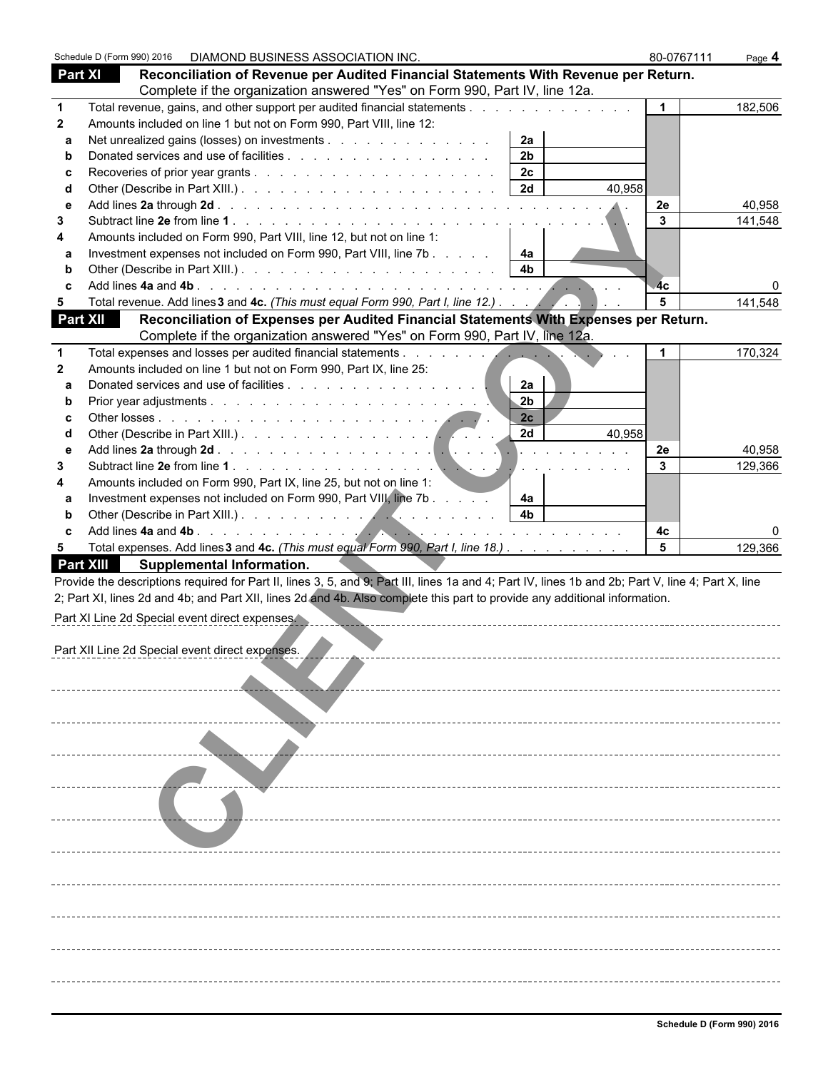|                  | Schedule D (Form 990) 2016  DIAMOND BUSINESS ASSOCIATION INC.                                                                                                                                                                                                                                      | 80-0767111 | Page 4  |
|------------------|----------------------------------------------------------------------------------------------------------------------------------------------------------------------------------------------------------------------------------------------------------------------------------------------------|------------|---------|
| <b>Part XI</b>   | Reconciliation of Revenue per Audited Financial Statements With Revenue per Return.                                                                                                                                                                                                                |            |         |
|                  | Complete if the organization answered "Yes" on Form 990, Part IV, line 12a.                                                                                                                                                                                                                        |            |         |
| $\mathbf 1$      | Total revenue, gains, and other support per audited financial statements                                                                                                                                                                                                                           |            | 182,506 |
| $\mathbf{2}$     | Amounts included on line 1 but not on Form 990, Part VIII, line 12:                                                                                                                                                                                                                                |            |         |
| a                | 2a<br>Net unrealized gains (losses) on investments                                                                                                                                                                                                                                                 |            |         |
| b                | 2 <sub>b</sub>                                                                                                                                                                                                                                                                                     |            |         |
| c                | 2 <sub>c</sub>                                                                                                                                                                                                                                                                                     |            |         |
| d                | 2d                                                                                                                                                                                                                                                                                                 | 40,958     |         |
| e                |                                                                                                                                                                                                                                                                                                    | 2e         | 40,958  |
| 3                |                                                                                                                                                                                                                                                                                                    | 3          | 141,548 |
| 4                | Amounts included on Form 990, Part VIII, line 12, but not on line 1:                                                                                                                                                                                                                               |            |         |
| a                | Investment expenses not included on Form 990, Part VIII, line 7b<br>4a                                                                                                                                                                                                                             |            |         |
| b                | 4 <sub>b</sub>                                                                                                                                                                                                                                                                                     |            |         |
| C                |                                                                                                                                                                                                                                                                                                    | 4c         |         |
| $5\phantom{.0}$  | Total revenue. Add lines 3 and 4c. (This must equal Form 990, Part I, line 12.)                                                                                                                                                                                                                    | 5          | 141,548 |
| <b>Part XII</b>  | Reconciliation of Expenses per Audited Financial Statements With Expenses per Return.                                                                                                                                                                                                              |            |         |
|                  | Complete if the organization answered "Yes" on Form 990, Part IV, line 12a.                                                                                                                                                                                                                        |            |         |
| 1                | Total expenses and losses per audited financial statements<br><u> The Common State Common State Common State Common State Common State Common State Common State Common State Common State Common State Common State Common State Common State Common State Common State Common State Common S</u> |            | 170,324 |
| $\mathbf{2}$     | Amounts included on line 1 but not on Form 990, Part IX, line 25:                                                                                                                                                                                                                                  |            |         |
| a                | Donated services and use of facilities<br>2a                                                                                                                                                                                                                                                       |            |         |
| $\mathbf b$      | 2 <sub>b</sub>                                                                                                                                                                                                                                                                                     |            |         |
| c                | 2c                                                                                                                                                                                                                                                                                                 |            |         |
| d                | 2d                                                                                                                                                                                                                                                                                                 | 40,958     |         |
| e                | <b>.</b>                                                                                                                                                                                                                                                                                           | 2e         | 40,958  |
| 3                | $\sim$ $\sim$                                                                                                                                                                                                                                                                                      | 3          | 129,366 |
| 4                | Amounts included on Form 990, Part IX, line 25, but not on line 1:                                                                                                                                                                                                                                 |            |         |
| a                | Investment expenses not included on Form 990, Part VIII, line 7b<br>4a                                                                                                                                                                                                                             |            |         |
| b                | 4 <sub>b</sub>                                                                                                                                                                                                                                                                                     |            |         |
| C                |                                                                                                                                                                                                                                                                                                    | 4с         |         |
| 5                | Total expenses. Add lines 3 and 4c. (This must equal Form 990, Part I, line 18.)                                                                                                                                                                                                                   | 5          | 129,366 |
| <b>Part XIII</b> | Supplemental Information.                                                                                                                                                                                                                                                                          |            |         |
|                  | Provide the descriptions required for Part II, lines 3, 5, and 9; Part III, lines 1a and 4; Part IV, lines 1b and 2b; Part V, line 4; Part X, line                                                                                                                                                 |            |         |
|                  | 2; Part XI, lines 2d and 4b; and Part XII, lines 2d and 4b. Also complete this part to provide any additional information.                                                                                                                                                                         |            |         |
|                  | Part XI Line 2d Special event direct expenses.                                                                                                                                                                                                                                                     |            |         |
|                  |                                                                                                                                                                                                                                                                                                    |            |         |
|                  | Part XII Line 2d Special event direct expenses                                                                                                                                                                                                                                                     |            |         |
|                  |                                                                                                                                                                                                                                                                                                    |            |         |
|                  |                                                                                                                                                                                                                                                                                                    |            |         |
|                  |                                                                                                                                                                                                                                                                                                    |            |         |
|                  |                                                                                                                                                                                                                                                                                                    |            |         |
|                  |                                                                                                                                                                                                                                                                                                    |            |         |
|                  |                                                                                                                                                                                                                                                                                                    |            |         |
|                  |                                                                                                                                                                                                                                                                                                    |            |         |
|                  |                                                                                                                                                                                                                                                                                                    |            |         |
|                  |                                                                                                                                                                                                                                                                                                    |            |         |
|                  |                                                                                                                                                                                                                                                                                                    |            |         |
|                  |                                                                                                                                                                                                                                                                                                    |            |         |
|                  |                                                                                                                                                                                                                                                                                                    |            |         |
|                  |                                                                                                                                                                                                                                                                                                    |            |         |
|                  |                                                                                                                                                                                                                                                                                                    |            |         |
|                  |                                                                                                                                                                                                                                                                                                    |            |         |
|                  |                                                                                                                                                                                                                                                                                                    |            |         |
|                  |                                                                                                                                                                                                                                                                                                    |            |         |
|                  |                                                                                                                                                                                                                                                                                                    |            |         |
|                  |                                                                                                                                                                                                                                                                                                    |            |         |
|                  |                                                                                                                                                                                                                                                                                                    |            |         |
|                  |                                                                                                                                                                                                                                                                                                    |            |         |
|                  |                                                                                                                                                                                                                                                                                                    |            |         |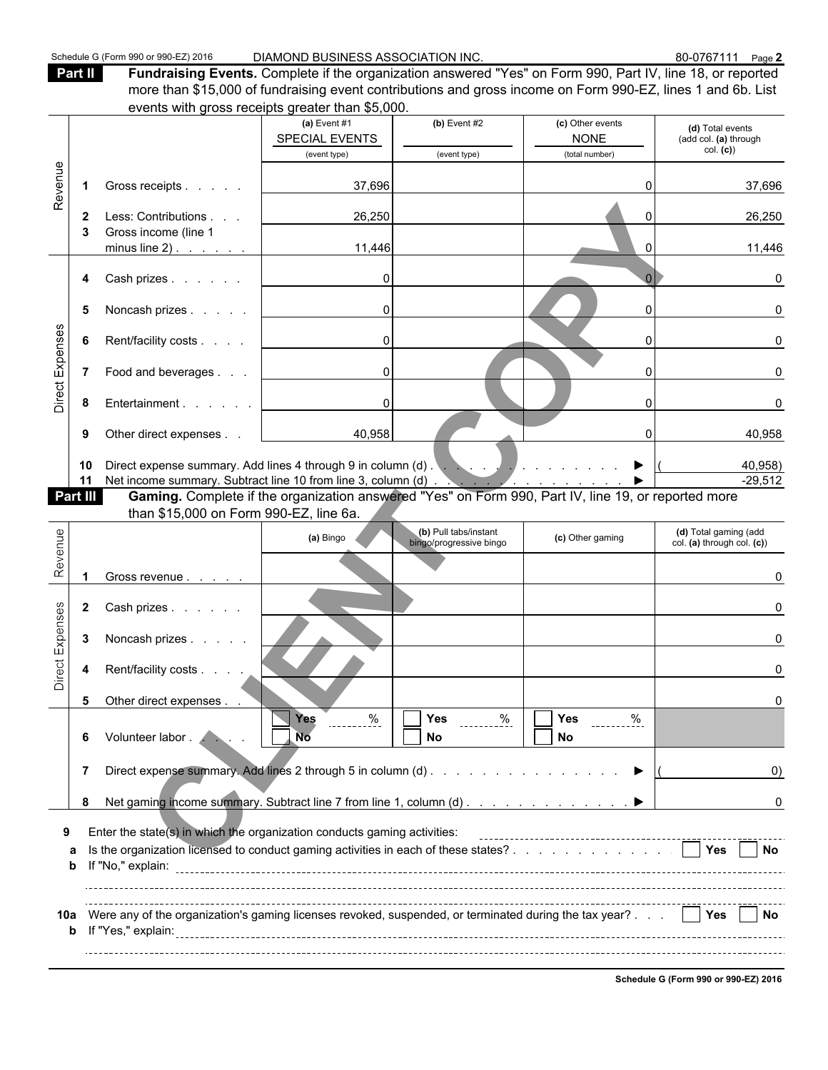Part II **Fundraising Events.** Complete if the organization answered "Yes" on Form 990, Part IV, line 18, or reported more than \$15,000 of fundraising event contributions and gross income on Form 990-EZ, lines 1 and 6b. List events with gross receipts greater than \$5,000.

| (c) Other events<br>(a) Event $#1$<br>(b) Event $#2$<br>SPECIAL EVENTS<br><b>NONE</b><br>(add col. (a) through<br>col. (c)<br>(event type)<br>(total number)<br>(event type)<br>Revenue<br>Gross receipts<br>37,696<br>U<br>$\mathbf 1$<br>Less: Contributions<br>26,250<br>2<br>0<br>Gross income (line 1<br>3<br>11,446<br>minus line $2)$ .<br>$\Omega$<br>Cash prizes<br>0<br>4<br>$\overline{0}$<br>5<br>Noncash prizes<br>$\Omega$<br>Direct Expenses<br>$\overline{0}$<br>Rent/facility costs<br>6<br>$\Omega$<br>Food and beverages<br>$\overline{0}$<br>7<br>$\Omega$<br>0<br>Entertainment<br>8<br>$\Omega$<br>40,958<br>Other direct expenses<br>9<br>$\Omega$<br>10<br>11<br>Net income summary. Subtract line 10 from line 3, column (d)<br>Gaming. Complete if the organization answered "Yes" on Form 990, Part IV, line 19, or reported more<br>Part III<br>than \$15,000 on Form 990-EZ, line 6a.<br>Revenue<br>(b) Pull tabs/instant<br>(d) Total gaming (add<br>(a) Bingo<br>(c) Other gaming<br>bingo/progressive bingo<br>Gross revenue<br>Direct Expenses<br>$\mathbf{2}$<br>Cash prizes<br>3<br>Noncash prizes<br>Rent/facility costs<br>4<br>5<br>Other direct expenses<br>Ē.<br>$\overline{\Box}$ Yes<br>$\%$<br>$rac{9}{2}$<br>Yes<br>Yes<br>Volunteer labor . /<br>No<br>No<br>No<br>6<br>Direct expense summary. Add lines 2 through 5 in column (d)<br>7<br>Net gaming income summary. Subtract line 7 from line 1, column (d)<br>8<br>Enter the state(s) in which the organization conducts gaming activities:<br>9<br>Is the organization licensed to conduct gaming activities in each of these states?<br>  Yes<br>а<br>b<br>Were any of the organization's gaming licenses revoked, suspended, or terminated during the tax year?<br>10a |  | Creins with gross receipts greater than \$0,000. |  |                            |
|----------------------------------------------------------------------------------------------------------------------------------------------------------------------------------------------------------------------------------------------------------------------------------------------------------------------------------------------------------------------------------------------------------------------------------------------------------------------------------------------------------------------------------------------------------------------------------------------------------------------------------------------------------------------------------------------------------------------------------------------------------------------------------------------------------------------------------------------------------------------------------------------------------------------------------------------------------------------------------------------------------------------------------------------------------------------------------------------------------------------------------------------------------------------------------------------------------------------------------------------------------------------------------------------------------------------------------------------------------------------------------------------------------------------------------------------------------------------------------------------------------------------------------------------------------------------------------------------------------------------------------------------------------------------------------------------------------------------------------------------------------------------------|--|--------------------------------------------------|--|----------------------------|
|                                                                                                                                                                                                                                                                                                                                                                                                                                                                                                                                                                                                                                                                                                                                                                                                                                                                                                                                                                                                                                                                                                                                                                                                                                                                                                                                                                                                                                                                                                                                                                                                                                                                                                                                                                            |  |                                                  |  | (d) Total events           |
|                                                                                                                                                                                                                                                                                                                                                                                                                                                                                                                                                                                                                                                                                                                                                                                                                                                                                                                                                                                                                                                                                                                                                                                                                                                                                                                                                                                                                                                                                                                                                                                                                                                                                                                                                                            |  |                                                  |  |                            |
|                                                                                                                                                                                                                                                                                                                                                                                                                                                                                                                                                                                                                                                                                                                                                                                                                                                                                                                                                                                                                                                                                                                                                                                                                                                                                                                                                                                                                                                                                                                                                                                                                                                                                                                                                                            |  |                                                  |  |                            |
|                                                                                                                                                                                                                                                                                                                                                                                                                                                                                                                                                                                                                                                                                                                                                                                                                                                                                                                                                                                                                                                                                                                                                                                                                                                                                                                                                                                                                                                                                                                                                                                                                                                                                                                                                                            |  |                                                  |  | 37,696                     |
|                                                                                                                                                                                                                                                                                                                                                                                                                                                                                                                                                                                                                                                                                                                                                                                                                                                                                                                                                                                                                                                                                                                                                                                                                                                                                                                                                                                                                                                                                                                                                                                                                                                                                                                                                                            |  |                                                  |  | 26,250                     |
|                                                                                                                                                                                                                                                                                                                                                                                                                                                                                                                                                                                                                                                                                                                                                                                                                                                                                                                                                                                                                                                                                                                                                                                                                                                                                                                                                                                                                                                                                                                                                                                                                                                                                                                                                                            |  |                                                  |  | 11,446                     |
|                                                                                                                                                                                                                                                                                                                                                                                                                                                                                                                                                                                                                                                                                                                                                                                                                                                                                                                                                                                                                                                                                                                                                                                                                                                                                                                                                                                                                                                                                                                                                                                                                                                                                                                                                                            |  |                                                  |  |                            |
|                                                                                                                                                                                                                                                                                                                                                                                                                                                                                                                                                                                                                                                                                                                                                                                                                                                                                                                                                                                                                                                                                                                                                                                                                                                                                                                                                                                                                                                                                                                                                                                                                                                                                                                                                                            |  |                                                  |  |                            |
|                                                                                                                                                                                                                                                                                                                                                                                                                                                                                                                                                                                                                                                                                                                                                                                                                                                                                                                                                                                                                                                                                                                                                                                                                                                                                                                                                                                                                                                                                                                                                                                                                                                                                                                                                                            |  |                                                  |  |                            |
|                                                                                                                                                                                                                                                                                                                                                                                                                                                                                                                                                                                                                                                                                                                                                                                                                                                                                                                                                                                                                                                                                                                                                                                                                                                                                                                                                                                                                                                                                                                                                                                                                                                                                                                                                                            |  |                                                  |  |                            |
|                                                                                                                                                                                                                                                                                                                                                                                                                                                                                                                                                                                                                                                                                                                                                                                                                                                                                                                                                                                                                                                                                                                                                                                                                                                                                                                                                                                                                                                                                                                                                                                                                                                                                                                                                                            |  |                                                  |  |                            |
|                                                                                                                                                                                                                                                                                                                                                                                                                                                                                                                                                                                                                                                                                                                                                                                                                                                                                                                                                                                                                                                                                                                                                                                                                                                                                                                                                                                                                                                                                                                                                                                                                                                                                                                                                                            |  |                                                  |  | 40,958                     |
|                                                                                                                                                                                                                                                                                                                                                                                                                                                                                                                                                                                                                                                                                                                                                                                                                                                                                                                                                                                                                                                                                                                                                                                                                                                                                                                                                                                                                                                                                                                                                                                                                                                                                                                                                                            |  |                                                  |  | 40,958)<br>$-29,512$       |
|                                                                                                                                                                                                                                                                                                                                                                                                                                                                                                                                                                                                                                                                                                                                                                                                                                                                                                                                                                                                                                                                                                                                                                                                                                                                                                                                                                                                                                                                                                                                                                                                                                                                                                                                                                            |  |                                                  |  |                            |
|                                                                                                                                                                                                                                                                                                                                                                                                                                                                                                                                                                                                                                                                                                                                                                                                                                                                                                                                                                                                                                                                                                                                                                                                                                                                                                                                                                                                                                                                                                                                                                                                                                                                                                                                                                            |  |                                                  |  |                            |
|                                                                                                                                                                                                                                                                                                                                                                                                                                                                                                                                                                                                                                                                                                                                                                                                                                                                                                                                                                                                                                                                                                                                                                                                                                                                                                                                                                                                                                                                                                                                                                                                                                                                                                                                                                            |  |                                                  |  | col. (a) through col. (c)) |
|                                                                                                                                                                                                                                                                                                                                                                                                                                                                                                                                                                                                                                                                                                                                                                                                                                                                                                                                                                                                                                                                                                                                                                                                                                                                                                                                                                                                                                                                                                                                                                                                                                                                                                                                                                            |  |                                                  |  |                            |
|                                                                                                                                                                                                                                                                                                                                                                                                                                                                                                                                                                                                                                                                                                                                                                                                                                                                                                                                                                                                                                                                                                                                                                                                                                                                                                                                                                                                                                                                                                                                                                                                                                                                                                                                                                            |  |                                                  |  |                            |
|                                                                                                                                                                                                                                                                                                                                                                                                                                                                                                                                                                                                                                                                                                                                                                                                                                                                                                                                                                                                                                                                                                                                                                                                                                                                                                                                                                                                                                                                                                                                                                                                                                                                                                                                                                            |  |                                                  |  |                            |
|                                                                                                                                                                                                                                                                                                                                                                                                                                                                                                                                                                                                                                                                                                                                                                                                                                                                                                                                                                                                                                                                                                                                                                                                                                                                                                                                                                                                                                                                                                                                                                                                                                                                                                                                                                            |  |                                                  |  |                            |
|                                                                                                                                                                                                                                                                                                                                                                                                                                                                                                                                                                                                                                                                                                                                                                                                                                                                                                                                                                                                                                                                                                                                                                                                                                                                                                                                                                                                                                                                                                                                                                                                                                                                                                                                                                            |  |                                                  |  |                            |
|                                                                                                                                                                                                                                                                                                                                                                                                                                                                                                                                                                                                                                                                                                                                                                                                                                                                                                                                                                                                                                                                                                                                                                                                                                                                                                                                                                                                                                                                                                                                                                                                                                                                                                                                                                            |  |                                                  |  |                            |
|                                                                                                                                                                                                                                                                                                                                                                                                                                                                                                                                                                                                                                                                                                                                                                                                                                                                                                                                                                                                                                                                                                                                                                                                                                                                                                                                                                                                                                                                                                                                                                                                                                                                                                                                                                            |  |                                                  |  | $\left( 0\right)$          |
|                                                                                                                                                                                                                                                                                                                                                                                                                                                                                                                                                                                                                                                                                                                                                                                                                                                                                                                                                                                                                                                                                                                                                                                                                                                                                                                                                                                                                                                                                                                                                                                                                                                                                                                                                                            |  |                                                  |  | 0                          |
|                                                                                                                                                                                                                                                                                                                                                                                                                                                                                                                                                                                                                                                                                                                                                                                                                                                                                                                                                                                                                                                                                                                                                                                                                                                                                                                                                                                                                                                                                                                                                                                                                                                                                                                                                                            |  |                                                  |  |                            |
|                                                                                                                                                                                                                                                                                                                                                                                                                                                                                                                                                                                                                                                                                                                                                                                                                                                                                                                                                                                                                                                                                                                                                                                                                                                                                                                                                                                                                                                                                                                                                                                                                                                                                                                                                                            |  |                                                  |  | l No                       |
|                                                                                                                                                                                                                                                                                                                                                                                                                                                                                                                                                                                                                                                                                                                                                                                                                                                                                                                                                                                                                                                                                                                                                                                                                                                                                                                                                                                                                                                                                                                                                                                                                                                                                                                                                                            |  |                                                  |  |                            |
|                                                                                                                                                                                                                                                                                                                                                                                                                                                                                                                                                                                                                                                                                                                                                                                                                                                                                                                                                                                                                                                                                                                                                                                                                                                                                                                                                                                                                                                                                                                                                                                                                                                                                                                                                                            |  |                                                  |  | Yes No                     |

**Schedule G (Form 990 or 990-EZ) 2016**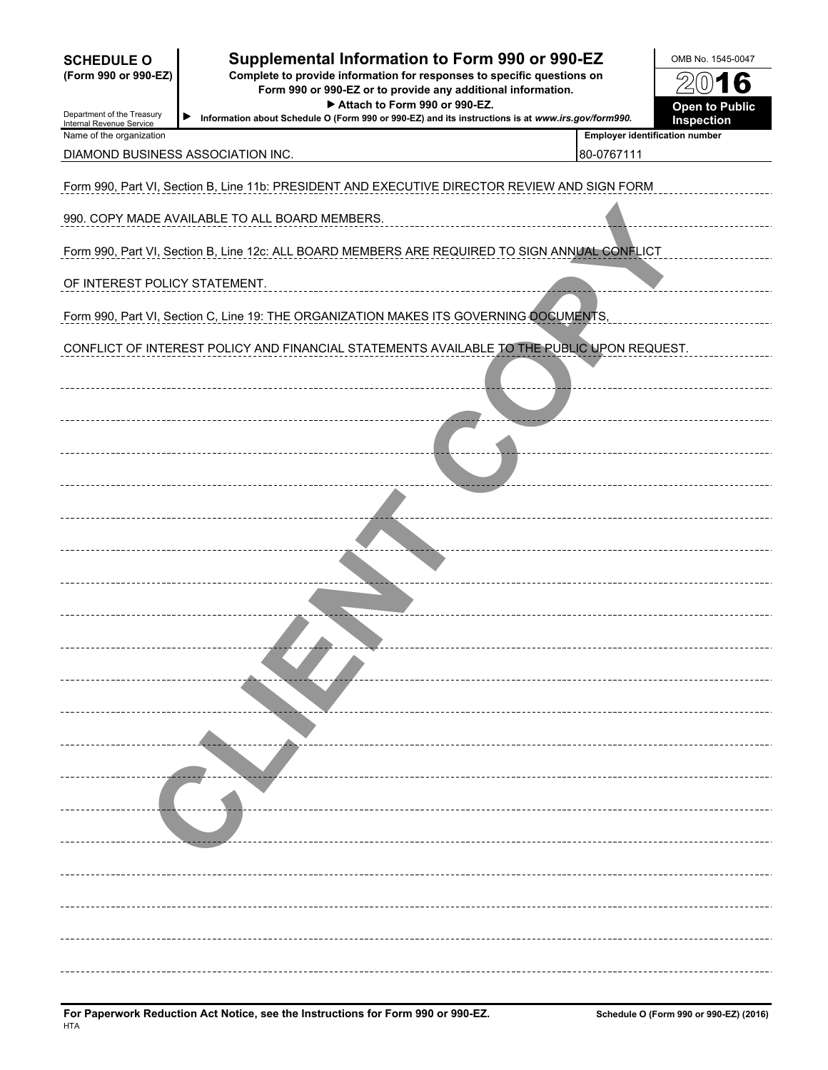| <b>SCHEDULE O</b><br>(Form 990 or 990-EZ)<br>Department of the Treasury<br>Internal Revenue Service | Supplemental Information to Form 990 or 990-EZ<br>Complete to provide information for responses to specific questions on<br>Form 990 or 990-EZ or to provide any additional information.<br>Attach to Form 990 or 990-EZ.<br>▶<br>Information about Schedule O (Form 990 or 990-EZ) and its instructions is at www.irs.gov/form990. |                                                     | OMB No. 1545-0047<br>$20$ 16<br><b>Open to Public</b><br>Inspection |
|-----------------------------------------------------------------------------------------------------|-------------------------------------------------------------------------------------------------------------------------------------------------------------------------------------------------------------------------------------------------------------------------------------------------------------------------------------|-----------------------------------------------------|---------------------------------------------------------------------|
| Name of the organization                                                                            | DIAMOND BUSINESS ASSOCIATION INC.                                                                                                                                                                                                                                                                                                   | <b>Employer identification number</b><br>80-0767111 |                                                                     |
|                                                                                                     | Form 990, Part VI, Section B, Line 11b: PRESIDENT AND EXECUTIVE DIRECTOR REVIEW AND SIGN FORM                                                                                                                                                                                                                                       |                                                     |                                                                     |
|                                                                                                     | 990. COPY MADE AVAILABLE TO ALL BOARD MEMBERS.                                                                                                                                                                                                                                                                                      |                                                     |                                                                     |
|                                                                                                     | Form 990, Part VI, Section B, Line 12c: ALL BOARD MEMBERS ARE REQUIRED TO SIGN ANNUAL CONFLICT                                                                                                                                                                                                                                      |                                                     |                                                                     |
| OF INTEREST POLICY STATEMENT.                                                                       |                                                                                                                                                                                                                                                                                                                                     |                                                     |                                                                     |
|                                                                                                     | Form 990, Part VI, Section C, Line 19: THE ORGANIZATION MAKES ITS GOVERNING DOCUMENTS,                                                                                                                                                                                                                                              |                                                     |                                                                     |
|                                                                                                     | CONFLICT OF INTEREST POLICY AND FINANCIAL STATEMENTS AVAILABLE TO THE PUBLIC UPON REQUEST.                                                                                                                                                                                                                                          |                                                     |                                                                     |
|                                                                                                     |                                                                                                                                                                                                                                                                                                                                     |                                                     |                                                                     |
|                                                                                                     |                                                                                                                                                                                                                                                                                                                                     |                                                     |                                                                     |
|                                                                                                     |                                                                                                                                                                                                                                                                                                                                     |                                                     |                                                                     |
|                                                                                                     |                                                                                                                                                                                                                                                                                                                                     |                                                     |                                                                     |
|                                                                                                     |                                                                                                                                                                                                                                                                                                                                     |                                                     |                                                                     |
|                                                                                                     |                                                                                                                                                                                                                                                                                                                                     |                                                     |                                                                     |
|                                                                                                     |                                                                                                                                                                                                                                                                                                                                     |                                                     |                                                                     |
|                                                                                                     |                                                                                                                                                                                                                                                                                                                                     |                                                     |                                                                     |
|                                                                                                     |                                                                                                                                                                                                                                                                                                                                     |                                                     |                                                                     |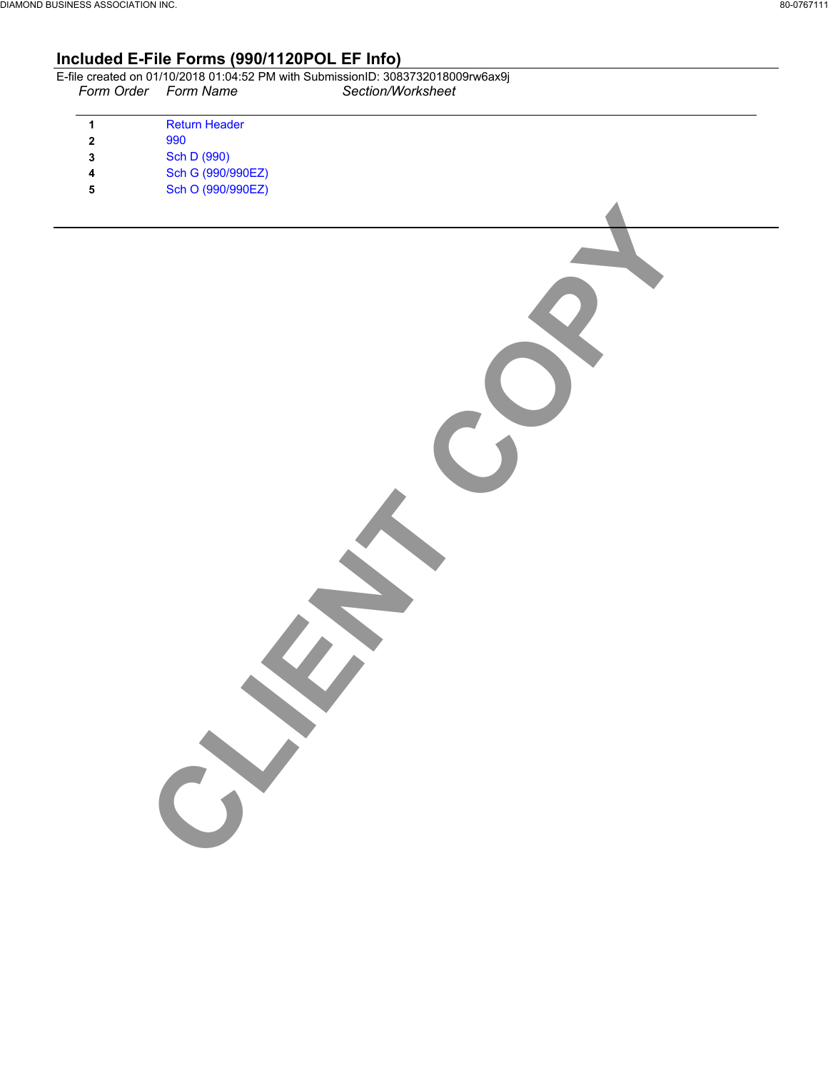# **Included E-File Forms (990/1120POL EF Info)**

|                      | E-file created on 01/10/2018 01:04:52 PM with SubmissionID: 3083732018009rw6ax9i |
|----------------------|----------------------------------------------------------------------------------|
| Form Order Form Name | Section/Worksheet                                                                |

CLIENT COPY

| <b>Return Header</b> |
|----------------------|
| 990                  |
| Sch D (990)          |
| Sch G (990/990EZ)    |
| Sch O (990/990EZ)    |
|                      |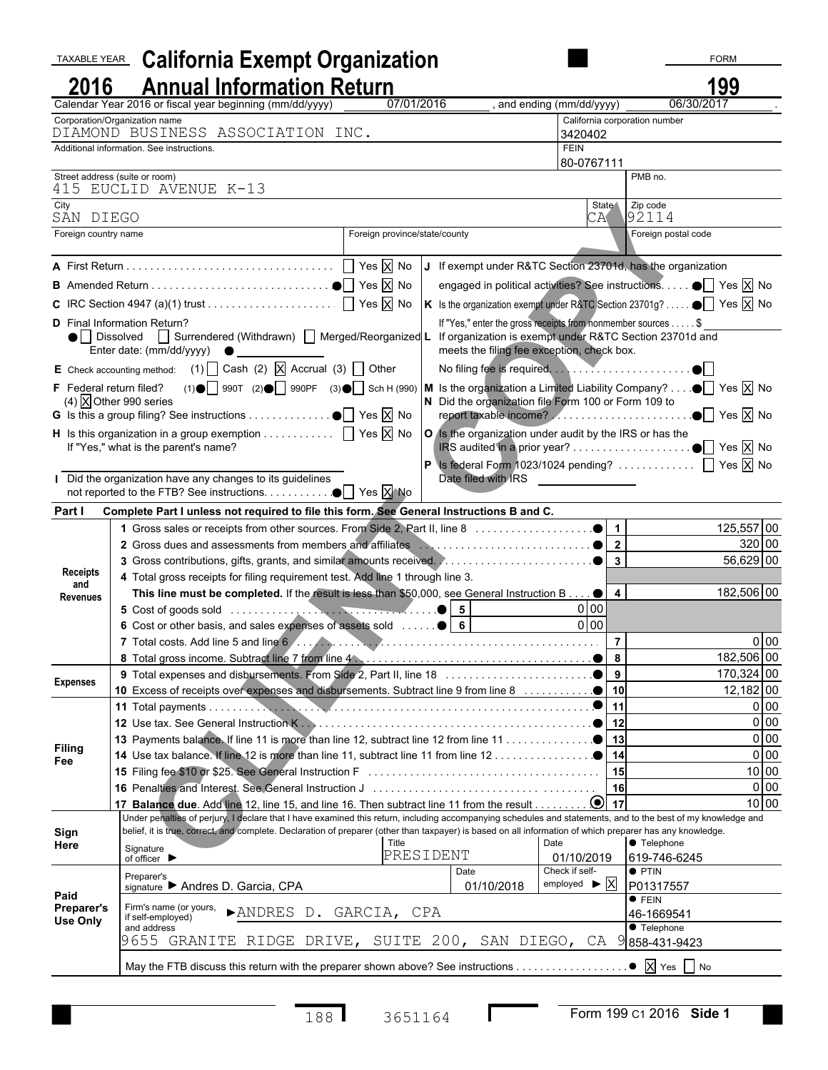| TAXABLE YEAR                  | <b>California Exempt Organization</b>                                                                                                                                                                                                                      |                               |                                                                                                            |                                                    | <b>FORM</b>                                                                          |                          |
|-------------------------------|------------------------------------------------------------------------------------------------------------------------------------------------------------------------------------------------------------------------------------------------------------|-------------------------------|------------------------------------------------------------------------------------------------------------|----------------------------------------------------|--------------------------------------------------------------------------------------|--------------------------|
| 2016                          | <b>Annual Information Return</b>                                                                                                                                                                                                                           |                               |                                                                                                            |                                                    | 199                                                                                  |                          |
|                               | Calendar Year 2016 or fiscal year beginning (mm/dd/yyyy)                                                                                                                                                                                                   | 07/01/2016                    |                                                                                                            | , and ending (mm/dd/yyyy)                          | 06/30/2017                                                                           |                          |
|                               | Corporation/Organization name<br>DIAMOND BUSINESS ASSOCIATION INC.                                                                                                                                                                                         |                               |                                                                                                            | California corporation number                      |                                                                                      |                          |
|                               | Additional information. See instructions.                                                                                                                                                                                                                  |                               |                                                                                                            | 3420402<br><b>FEIN</b>                             |                                                                                      |                          |
|                               |                                                                                                                                                                                                                                                            |                               |                                                                                                            | 80-0767111                                         |                                                                                      |                          |
|                               | Street address (suite or room)<br>415 EUCLID AVENUE K-13                                                                                                                                                                                                   |                               |                                                                                                            |                                                    | PMB no.                                                                              |                          |
| City<br>SAN DIEGO             |                                                                                                                                                                                                                                                            |                               |                                                                                                            | State \<br>CA                                      | Zip code<br>$\sqrt{92114}$                                                           |                          |
| Foreign country name          |                                                                                                                                                                                                                                                            | Foreign province/state/county |                                                                                                            |                                                    | Foreign postal code                                                                  |                          |
|                               |                                                                                                                                                                                                                                                            |                               |                                                                                                            |                                                    | If exempt under R&TC Section 23701d, has the organization                            |                          |
|                               |                                                                                                                                                                                                                                                            |                               |                                                                                                            |                                                    |                                                                                      |                          |
|                               |                                                                                                                                                                                                                                                            |                               |                                                                                                            |                                                    | engaged in political activities? See instructions. ● Yes X No                        |                          |
|                               |                                                                                                                                                                                                                                                            |                               |                                                                                                            |                                                    | K Is the organization exempt under R&TC Section 23701g? $\bullet$ Yes $\boxtimes$ No |                          |
|                               | <b>D</b> Final Information Return?<br>● Dissolved Surrendered (Withdrawn) Merged/Reorganized L If organization is exempt under R&TC Section 23701d and<br>Enter date: (mm/dd/yyyy) $\bullet$                                                               |                               | If "Yes," enter the gross receipts from nonmember sources \$<br>meets the filing fee exception, check box. |                                                    |                                                                                      |                          |
|                               | E Check accounting method: (1) $\Box$ Cash (2) $\Box$ Accrual (3) $\Box$ Other                                                                                                                                                                             |                               |                                                                                                            |                                                    |                                                                                      |                          |
|                               | F Federal return filed? (1) $\bigcirc$ 990T (2) $\bigcirc$ 990PF (3) $\bigcirc$ Sch H (990) M is the organization a Limited Liability Company? $\bigcirc$ Yes $\bigtimes$ No                                                                               |                               |                                                                                                            |                                                    |                                                                                      |                          |
|                               | (4) $\overline{X}$ Other 990 series<br><b>G</b> Is this a group filing? See instructions $\bullet$ $\boxed{\phantom{1}}$ Yes $\boxed{\phantom{1}}$ No                                                                                                      |                               | N Did the organization file Form 100 or Form 109 to                                                        |                                                    |                                                                                      |                          |
|                               | H Is this organization in a group exemption $\Box$ Yes $\overline{X}$ No $\overline{Q}$ is the organization under audit by the IRS or has the                                                                                                              |                               |                                                                                                            |                                                    |                                                                                      |                          |
|                               | If "Yes," what is the parent's name?                                                                                                                                                                                                                       |                               |                                                                                                            |                                                    |                                                                                      |                          |
|                               |                                                                                                                                                                                                                                                            |                               |                                                                                                            |                                                    | Is federal Form 1023/1024 pending? $\Box$ Yes $\boxtimes$ No                         |                          |
|                               | Did the organization have any changes to its guidelines                                                                                                                                                                                                    |                               | Date filed with IRS                                                                                        |                                                    |                                                                                      |                          |
| Part I                        | Complete Part I unless not required to file this form. See General Instructions B and C.                                                                                                                                                                   |                               |                                                                                                            |                                                    |                                                                                      |                          |
|                               |                                                                                                                                                                                                                                                            |                               |                                                                                                            |                                                    |                                                                                      | 125,557 00               |
|                               |                                                                                                                                                                                                                                                            |                               |                                                                                                            |                                                    |                                                                                      | 320 00                   |
|                               |                                                                                                                                                                                                                                                            |                               |                                                                                                            |                                                    |                                                                                      | 56,629 00                |
| Receipts<br>and               | 4 Total gross receipts for filing requirement test. Add line 1 through line 3.                                                                                                                                                                             |                               |                                                                                                            |                                                    |                                                                                      |                          |
| <b>Revenues</b>               | This line must be completed. If the result is less than \$50,000, see General Instruction B $\bullet$                                                                                                                                                      |                               |                                                                                                            | $\overline{4}$                                     |                                                                                      | 182,506 00               |
|                               | 5 Cost of goods sold $\ldots$ $\ldots$ $\ldots$ $\ldots$                                                                                                                                                                                                   |                               |                                                                                                            | $0$ 00                                             |                                                                                      |                          |
|                               | 6 Cost or other basis, and sales expenses of assets sold    6                                                                                                                                                                                              |                               |                                                                                                            | $0$ 00                                             |                                                                                      |                          |
|                               |                                                                                                                                                                                                                                                            |                               |                                                                                                            | $\overline{7}$                                     |                                                                                      | 0 <sub>0</sub>           |
|                               |                                                                                                                                                                                                                                                            |                               |                                                                                                            | 9                                                  |                                                                                      | 182,506 00<br>170,324 00 |
| <b>Expenses</b>               | 10 Excess of receipts over expenses and disbursements. Subtract line 9 from line 8                                                                                                                                                                         |                               |                                                                                                            | 10                                                 |                                                                                      | $12,182$ 00              |
|                               |                                                                                                                                                                                                                                                            |                               |                                                                                                            | 11                                                 |                                                                                      | 0 00                     |
|                               |                                                                                                                                                                                                                                                            |                               |                                                                                                            | 12                                                 |                                                                                      | 0 00                     |
|                               |                                                                                                                                                                                                                                                            |                               |                                                                                                            | 13                                                 |                                                                                      | 0 00                     |
| <b>Filing</b><br>Fee          |                                                                                                                                                                                                                                                            |                               |                                                                                                            | 14                                                 |                                                                                      | 0 <sub>0</sub>           |
|                               |                                                                                                                                                                                                                                                            |                               |                                                                                                            |                                                    |                                                                                      | 10 00                    |
|                               |                                                                                                                                                                                                                                                            |                               |                                                                                                            | 16                                                 |                                                                                      | 0 <sub>0</sub>           |
|                               | 17 Balance due. Add line 12, line 15, and line 16. Then subtract line 11 from the result 0<br>Under penalties of perjury, I declare that I have examined this return, including accompanying schedules and statements, and to the best of my knowledge and |                               |                                                                                                            | 17                                                 |                                                                                      | 10 00                    |
| Sign                          | belief, it is true, correct, and complete. Declaration of preparer (other than taxpayer) is based on all information of which preparer has any knowledge.                                                                                                  |                               |                                                                                                            |                                                    |                                                                                      |                          |
| Here                          | Signature                                                                                                                                                                                                                                                  | Title                         |                                                                                                            | Date                                               | <b>•</b> Telephone                                                                   |                          |
|                               | of officer $\blacktriangleright$                                                                                                                                                                                                                           | PRESIDENT                     |                                                                                                            | 01/10/2019                                         | 619-746-6245                                                                         |                          |
|                               | Preparer's<br>signature Andres D. Garcia, CPA                                                                                                                                                                                                              |                               | Date<br>01/10/2018                                                                                         | Check if self-<br>employed $\blacktriangleright$ X | $\bullet$ PTIN<br>P01317557                                                          |                          |
| Paid                          |                                                                                                                                                                                                                                                            |                               |                                                                                                            |                                                    | $\bullet$ FEIN                                                                       |                          |
| <b>Preparer's</b><br>Use Only | Firm's name (or yours,<br>>ANDRES D. GARCIA, CPA<br>if self-employed)                                                                                                                                                                                      |                               |                                                                                                            |                                                    | 46-1669541                                                                           |                          |
|                               | and address                                                                                                                                                                                                                                                |                               |                                                                                                            |                                                    | • Telephone                                                                          |                          |
|                               | 9655 GRANITE RIDGE DRIVE, SUITE 200, SAN DIEGO, CA 9                                                                                                                                                                                                       |                               |                                                                                                            |                                                    | 858-431-9423                                                                         |                          |
|                               | May the FTB discuss this return with the preparer shown above? See instructions                                                                                                                                                                            |                               |                                                                                                            |                                                    | $\bullet$ $\overline{X}$ Yes $\Box$ No                                               |                          |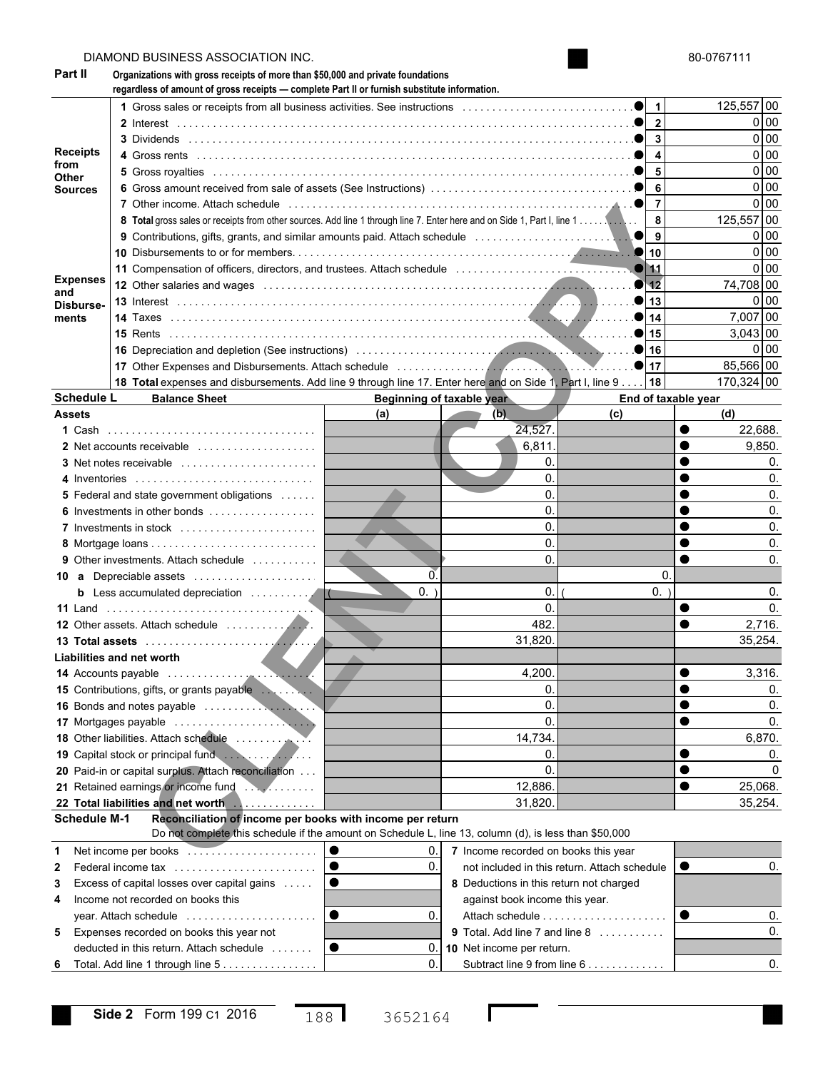|                   | DIAMOND BUSINESS ASSOCIATION INC.                                                                                                                                                         |                |                                         |                                              |    | 80-0767111             |  |  |  |
|-------------------|-------------------------------------------------------------------------------------------------------------------------------------------------------------------------------------------|----------------|-----------------------------------------|----------------------------------------------|----|------------------------|--|--|--|
| Part II           | Organizations with gross receipts of more than \$50,000 and private foundations<br>regardless of amount of gross receipts - complete Part II or furnish substitute information.           |                |                                         |                                              |    |                        |  |  |  |
|                   |                                                                                                                                                                                           |                |                                         | 1                                            |    | 125,557 00             |  |  |  |
|                   |                                                                                                                                                                                           |                |                                         | $\mathbf{2}$                                 |    | 0 00                   |  |  |  |
|                   |                                                                                                                                                                                           |                |                                         | 3                                            |    | 0 <sub>0</sub>         |  |  |  |
| <b>Receipts</b>   |                                                                                                                                                                                           |                |                                         | 4                                            |    | 0 <sub>0</sub>         |  |  |  |
| from<br>Other     |                                                                                                                                                                                           |                |                                         | 5                                            |    | 0 <sub>0</sub>         |  |  |  |
| Sources           |                                                                                                                                                                                           |                |                                         | 6                                            |    | 0 <sub>0</sub>         |  |  |  |
|                   | 7 Other income. Attach schedule entertainment in the contract of the state of the state of the state of the st                                                                            |                |                                         | $\overline{7}$                               |    | 0 00                   |  |  |  |
|                   |                                                                                                                                                                                           |                |                                         | 8                                            |    | 125,557 00             |  |  |  |
|                   |                                                                                                                                                                                           |                |                                         | 9                                            |    | 0 00<br>0 <sub>0</sub> |  |  |  |
|                   |                                                                                                                                                                                           |                |                                         |                                              |    |                        |  |  |  |
| <b>Expenses</b>   |                                                                                                                                                                                           |                |                                         |                                              |    |                        |  |  |  |
| and               | 12 Other salaries and wages entertainment containment and contained and contained and contained and contained                                                                             |                |                                         | 12                                           |    | 74,708 00              |  |  |  |
| Disburse-         |                                                                                                                                                                                           |                |                                         | 13                                           |    | 0 00                   |  |  |  |
| ments             |                                                                                                                                                                                           |                |                                         | 14                                           |    | 7,007 00               |  |  |  |
|                   |                                                                                                                                                                                           |                |                                         | 15                                           |    | $3,043$ 00             |  |  |  |
|                   |                                                                                                                                                                                           |                |                                         | 16                                           |    | 0 00                   |  |  |  |
|                   |                                                                                                                                                                                           |                |                                         | 17                                           |    | 85,566 00              |  |  |  |
| <b>Schedule L</b> | 18 Total expenses and disbursements. Add line 9 through line 17. Enter here and on Side 1, Part I, line 9                                                                                 |                | Beginning of taxable year               | 18                                           |    | 170,324 00             |  |  |  |
| <b>Assets</b>     | <b>Balance Sheet</b>                                                                                                                                                                      | (a)            | (b)                                     | End of taxable year<br>(c)                   |    | (d)                    |  |  |  |
|                   |                                                                                                                                                                                           |                | 24,527.                                 |                                              | 0  | 22,688.                |  |  |  |
|                   | 2 Net accounts receivable                                                                                                                                                                 |                | 6,811.                                  |                                              |    | 9,850.                 |  |  |  |
|                   | 3 Net notes receivable                                                                                                                                                                    |                | 0.                                      |                                              |    | 0.                     |  |  |  |
|                   | 4 Inventories                                                                                                                                                                             |                | 0.                                      |                                              |    | 0.                     |  |  |  |
|                   | 5 Federal and state government obligations                                                                                                                                                |                | 0.                                      |                                              |    | 0.                     |  |  |  |
|                   | 6 Investments in other bonds                                                                                                                                                              |                | 0.                                      |                                              |    | 0.                     |  |  |  |
|                   | 7 Investments in stock                                                                                                                                                                    |                | 0.                                      |                                              |    | 0.                     |  |  |  |
|                   |                                                                                                                                                                                           |                | 0.                                      |                                              |    | 0.                     |  |  |  |
|                   | <b>9</b> Other investments. Attach schedule                                                                                                                                               |                | 0.                                      |                                              |    | 0.                     |  |  |  |
|                   | 10 a Depreciable assets                                                                                                                                                                   | $\overline{0}$ |                                         |                                              | 0. |                        |  |  |  |
|                   | <b>b</b> Less accumulated depreciation<br>$\overline{\mathcal{C}}$                                                                                                                        | $0.$ )         | 0.                                      | $0.$ )                                       |    | 0.                     |  |  |  |
|                   |                                                                                                                                                                                           |                | 0.                                      |                                              |    | 0.                     |  |  |  |
|                   |                                                                                                                                                                                           |                | 482                                     |                                              |    | 2.716.                 |  |  |  |
|                   |                                                                                                                                                                                           |                | 31,820.                                 |                                              |    | 35,254.                |  |  |  |
|                   | Liabilities and net worth                                                                                                                                                                 |                |                                         |                                              |    |                        |  |  |  |
|                   |                                                                                                                                                                                           |                | 4,200                                   |                                              |    | 3,316.                 |  |  |  |
|                   |                                                                                                                                                                                           |                | 0.                                      |                                              |    | 0.                     |  |  |  |
|                   |                                                                                                                                                                                           |                | 0.                                      |                                              |    | 0.                     |  |  |  |
|                   |                                                                                                                                                                                           |                | 0.                                      |                                              |    | 0.                     |  |  |  |
|                   |                                                                                                                                                                                           |                | 14,734.                                 |                                              |    | 6,870.                 |  |  |  |
|                   |                                                                                                                                                                                           |                | 0.                                      |                                              |    | 0.                     |  |  |  |
|                   | 20 Paid-in or capital surplus. Attach reconciliation                                                                                                                                      |                | 0.                                      |                                              |    | 0                      |  |  |  |
|                   |                                                                                                                                                                                           |                | 12,886.                                 |                                              |    | 25,068.                |  |  |  |
|                   | 22 Total liabilities and net worth                                                                                                                                                        |                | 31,820.                                 |                                              |    | 35,254.                |  |  |  |
|                   | <b>Schedule M-1</b><br>Reconciliation of income per books with income per return<br>Do not complete this schedule if the amount on Schedule L, line 13, column (d), is less than \$50,000 |                |                                         |                                              |    |                        |  |  |  |
| 1                 | Net income per books                                                                                                                                                                      | 0.             | 7 Income recorded on books this year    |                                              |    |                        |  |  |  |
|                   | Federal income tax                                                                                                                                                                        | 0.             |                                         | not included in this return. Attach schedule |    | 0.                     |  |  |  |
| 2<br>3            | Excess of capital losses over capital gains                                                                                                                                               |                | 8 Deductions in this return not charged |                                              |    |                        |  |  |  |
| 4                 | Income not recorded on books this                                                                                                                                                         |                | against book income this year.          |                                              |    |                        |  |  |  |
|                   | year. Attach schedule $\ldots \ldots \ldots \ldots \ldots \ldots$                                                                                                                         | 0.             |                                         | Attach schedule                              |    | 0.                     |  |  |  |
| 5                 | Expenses recorded on books this year not                                                                                                                                                  |                |                                         | 9 Total. Add line 7 and line 8               |    | 0.                     |  |  |  |
|                   | deducted in this return. Attach schedule                                                                                                                                                  | 0.             | 10 Net income per return.               |                                              |    |                        |  |  |  |
| 6                 | Total. Add line 1 through line 5                                                                                                                                                          | 0.             |                                         | Subtract line 9 from line 6                  |    | 0.                     |  |  |  |
|                   |                                                                                                                                                                                           |                |                                         |                                              |    |                        |  |  |  |

 $\mathbf l$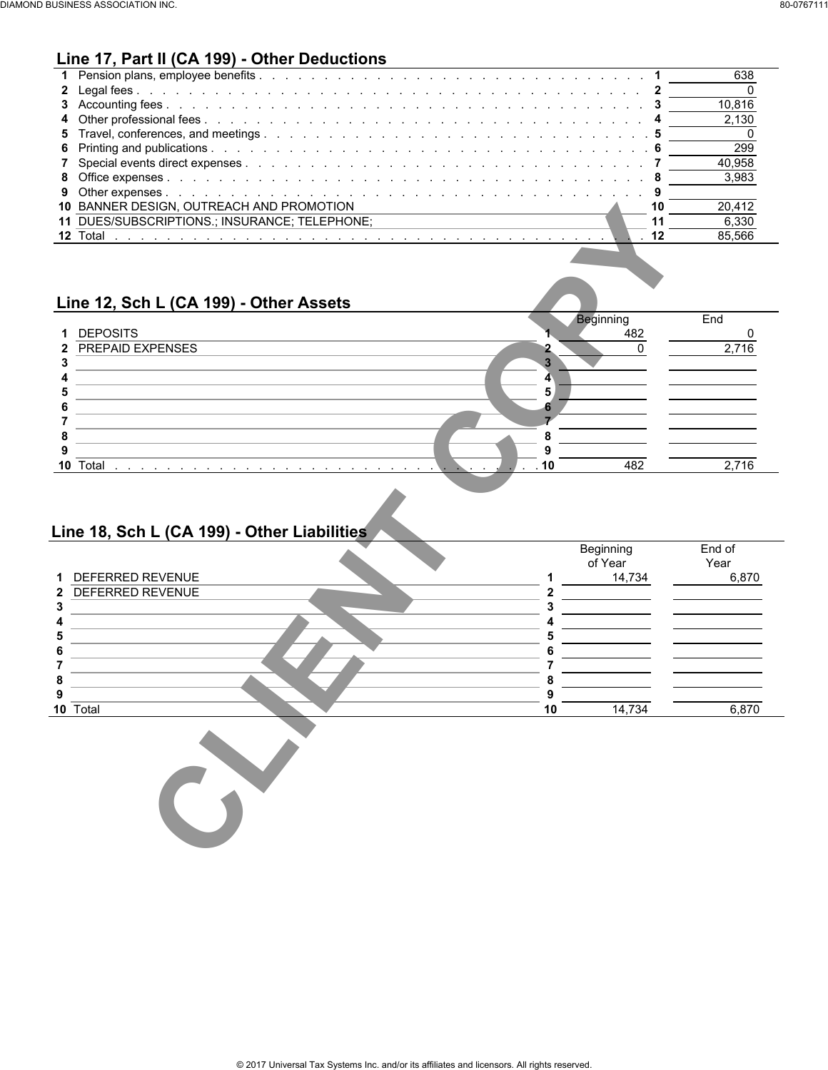## **Line 17, Part II (CA 199) - Other Deductions**

|                                                 | 638    |  |
|-------------------------------------------------|--------|--|
|                                                 |        |  |
|                                                 | 10.816 |  |
|                                                 | 2.130  |  |
|                                                 |        |  |
|                                                 | 299    |  |
|                                                 | 40.958 |  |
|                                                 | -3.983 |  |
|                                                 |        |  |
| <b>10 BANNER DESIGN. OUTREACH AND PROMOTION</b> | 20.412 |  |
| 11 DUES/SUBSCRIPTIONS.; INSURANCE; TELEPHONE;   | 6.330  |  |
| <b>12 Total</b>                                 | 85.566 |  |
|                                                 |        |  |

### **Line 12, Sch L (CA 199) - Other Assets**

| End<br>Beginning<br><b>DEPOSITS</b><br>482<br>$\mathbf 1$<br>2 PREPAID EXPENSES<br>2.716                                                                                                                                                                                                      |
|-----------------------------------------------------------------------------------------------------------------------------------------------------------------------------------------------------------------------------------------------------------------------------------------------|
|                                                                                                                                                                                                                                                                                               |
|                                                                                                                                                                                                                                                                                               |
|                                                                                                                                                                                                                                                                                               |
|                                                                                                                                                                                                                                                                                               |
|                                                                                                                                                                                                                                                                                               |
|                                                                                                                                                                                                                                                                                               |
|                                                                                                                                                                                                                                                                                               |
|                                                                                                                                                                                                                                                                                               |
|                                                                                                                                                                                                                                                                                               |
|                                                                                                                                                                                                                                                                                               |
| Total<br>482<br>2.716<br>10<br>. 10<br>the company of the company of the company of the company of the company of the company of the company of the company of the company of the company of the company of the company of the company of the company of the company<br>$\sim$<br>$\sim$<br>. |

# **Line 18, Sch L (CA 199) - Other Liabilities**

| 11 DUES/SUBSCRIPTIONS.; INSURANCE; TELEPHONE;<br>12 Total                                          | 11                  |           |
|----------------------------------------------------------------------------------------------------|---------------------|-----------|
|                                                                                                    |                     | 6,330     |
|                                                                                                    | 12                  | 85,566    |
|                                                                                                    |                     |           |
|                                                                                                    |                     |           |
|                                                                                                    |                     |           |
| Line 12, Sch L (CA 199) - Other Assets                                                             |                     |           |
|                                                                                                    | Beginning           | End       |
| 1 DEPOSITS                                                                                         | 482                 | $\pmb{0}$ |
| <b>PREPAID EXPENSES</b><br>2                                                                       | $\mathsf{O}\xspace$ | 2,716     |
| 3                                                                                                  |                     |           |
| 4                                                                                                  |                     |           |
| 5                                                                                                  |                     |           |
| 6                                                                                                  |                     |           |
| 8                                                                                                  |                     |           |
| 9                                                                                                  |                     |           |
| 10 Total<br>10<br>$\mathbf{r}$ and $\mathbf{r}$ and $\mathbf{r}$ and $\mathbf{r}$ and $\mathbf{r}$ | 482                 | 2,716     |
|                                                                                                    |                     |           |
| Line 18, Sch L (CA 199) - Other Liabilities                                                        | Beginning           | End of    |
|                                                                                                    | of Year             | Year      |
| DEFERRED REVENUE                                                                                   | 14,734<br>1         |           |
| DEFERRED REVENUE                                                                                   | 2<br>3              |           |
|                                                                                                    | 4                   | 6,870     |
|                                                                                                    | 5                   |           |
|                                                                                                    | 6                   |           |
|                                                                                                    | 7                   |           |
|                                                                                                    | 8                   |           |
| 10 Total                                                                                           | 9<br>14,734<br>10   | 6,870     |